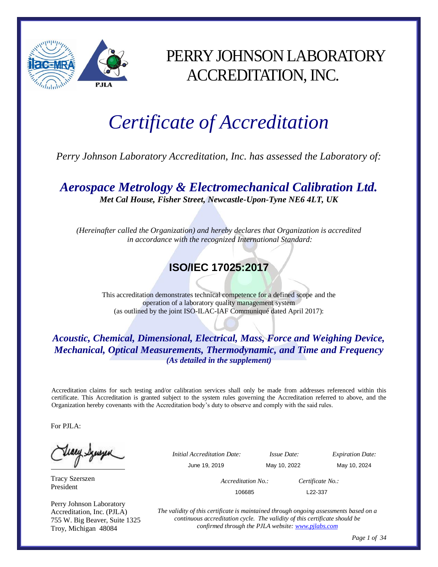

## PERRY JOHNSON LABORATORY ACCREDITATION, INC.

# *Certificate of Accreditation*

*Perry Johnson Laboratory Accreditation, Inc. has assessed the Laboratory of:*

*Aerospace Metrology & Electromechanical Calibration Ltd. Met Cal House, Fisher Street, Newcastle-Upon-Tyne NE6 4LT, UK*

*(Hereinafter called the Organization) and hereby declares that Organization is accredited in accordance with the recognized International Standard:*

## **ISO/IEC 17025:2017**

This accreditation demonstrates technical competence for a defined scope and the operation of a laboratory quality management system (as outlined by the joint ISO-ILAC-IAF Communiqué dated April 2017):

#### *Acoustic, Chemical, Dimensional, Electrical, Mass, Force and Weighing Device, Mechanical, Optical Measurements, Thermodynamic, and Time and Frequency (As detailed in the supplement)*

Accreditation claims for such testing and/or calibration services shall only be made from addresses referenced within this certificate. This Accreditation is granted subject to the system rules governing the Accreditation referred to above, and the Organization hereby covenants with the Accreditation body's duty to observe and comply with the said rules.

For PJLA:

tiaey Szuszen

Tracy Szerszen President

Perry Johnson Laboratory Accreditation, Inc. (PJLA) 755 W. Big Beaver, Suite 1325 Troy, Michigan 48084

 *Initial Accreditation Date: Issue Date: Expiration Date:* June 19, 2019 May 10, 2022 May 10, 2024 *Accreditation No.: Certificate No.:* 106685 L22-337

> *The validity of this certificate is maintained through ongoing assessments based on a continuous accreditation cycle. The validity of this certificate should be confirmed through the PJLA website[: www.pjlabs.com](http://www.pjlabs.com/)*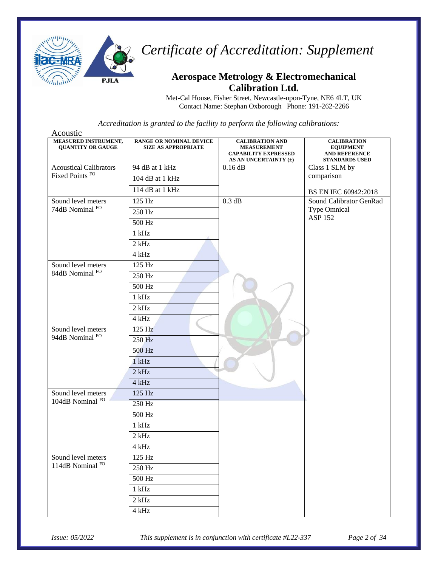

### **Aerospace Metrology & Electromechanical Calibration Ltd.**

Met-Cal House, Fisher Street, Newcastle-upon-Tyne, NE6 4LT, UK Contact Name: Stephan Oxborough Phone: 191-262-2266

| Acoustic                                         |                                                              |                                                                                                          |                                                                                         |
|--------------------------------------------------|--------------------------------------------------------------|----------------------------------------------------------------------------------------------------------|-----------------------------------------------------------------------------------------|
| MEASURED INSTRUMENT,<br><b>QUANTITY OR GAUGE</b> | <b>RANGE OR NOMINAL DEVICE</b><br><b>SIZE AS APPROPRIATE</b> | <b>CALIBRATION AND</b><br><b>MEASUREMENT</b><br><b>CAPABILITY EXPRESSED</b><br>AS AN UNCERTAINTY $(\pm)$ | <b>CALIBRATION</b><br><b>EQUIPMENT</b><br><b>AND REFERENCE</b><br><b>STANDARDS USED</b> |
| <b>Acoustical Calibrators</b>                    | 94 dB at 1 kHz                                               | $0.16$ dB                                                                                                | Class 1 SLM by                                                                          |
| Fixed Points <sup>FO</sup>                       | 104 dB at 1 kHz                                              |                                                                                                          | comparison                                                                              |
|                                                  | 114 dB at 1 kHz                                              |                                                                                                          | BS EN IEC 60942:2018                                                                    |
| Sound level meters                               | 125 Hz                                                       | 0.3 dB                                                                                                   | Sound Calibrator GenRad                                                                 |
| 74dB Nominal FO                                  | 250 Hz                                                       |                                                                                                          | <b>Type Omnical</b><br><b>ASP 152</b>                                                   |
|                                                  | 500 Hz                                                       |                                                                                                          |                                                                                         |
|                                                  | $1$ kHz                                                      |                                                                                                          |                                                                                         |
|                                                  | $2$ kHz                                                      |                                                                                                          |                                                                                         |
|                                                  | 4 kHz                                                        |                                                                                                          |                                                                                         |
| Sound level meters                               | 125 Hz                                                       |                                                                                                          |                                                                                         |
| 84dB Nominal FO                                  | 250 Hz                                                       |                                                                                                          |                                                                                         |
|                                                  | 500 Hz                                                       |                                                                                                          |                                                                                         |
|                                                  | $1$ kHz                                                      |                                                                                                          |                                                                                         |
|                                                  | $2$ kHz                                                      |                                                                                                          |                                                                                         |
|                                                  | 4 kHz                                                        |                                                                                                          |                                                                                         |
| Sound level meters                               | 125 Hz                                                       |                                                                                                          |                                                                                         |
| 94dB Nominal FO                                  | 250 Hz                                                       |                                                                                                          |                                                                                         |
|                                                  | 500 Hz                                                       |                                                                                                          |                                                                                         |
|                                                  | $1$ kHz                                                      |                                                                                                          |                                                                                         |
|                                                  | $2$ kHz                                                      |                                                                                                          |                                                                                         |
|                                                  | 4 kHz                                                        |                                                                                                          |                                                                                         |
| Sound level meters                               | 125 Hz                                                       |                                                                                                          |                                                                                         |
| 104dB Nominal FO                                 | 250 Hz                                                       |                                                                                                          |                                                                                         |
|                                                  | 500 Hz                                                       |                                                                                                          |                                                                                         |
|                                                  | $1$ kHz                                                      |                                                                                                          |                                                                                         |
|                                                  | $2$ kHz                                                      |                                                                                                          |                                                                                         |
|                                                  | 4 kHz                                                        |                                                                                                          |                                                                                         |
| Sound level meters                               | 125 Hz                                                       |                                                                                                          |                                                                                         |
| 114dB Nominal FO                                 | 250 Hz                                                       |                                                                                                          |                                                                                         |
|                                                  | 500 Hz                                                       |                                                                                                          |                                                                                         |
|                                                  | $1$ kHz                                                      |                                                                                                          |                                                                                         |
|                                                  | $2\ \mathrm{kHz}$                                            |                                                                                                          |                                                                                         |
|                                                  | $4\ \mathrm{kHz}$                                            |                                                                                                          |                                                                                         |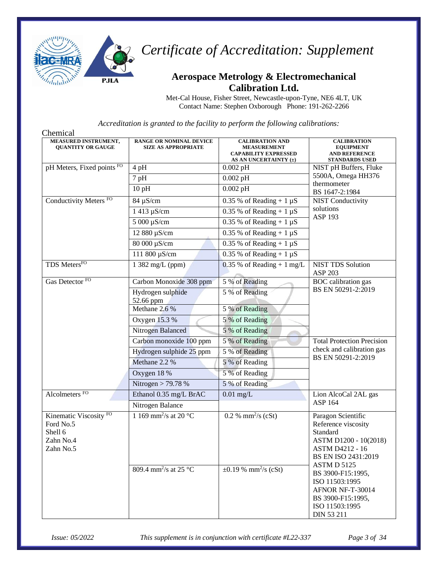

#### **Aerospace Metrology & Electromechanical Calibration Ltd.**

Met-Cal House, Fisher Street, Newcastle-upon-Tyne, NE6 4LT, UK Contact Name: Stephen Oxborough Phone: 191-262-2266

| Chemical                                                                            |                                                              |                                                                                                      |                                                                                                                                                |
|-------------------------------------------------------------------------------------|--------------------------------------------------------------|------------------------------------------------------------------------------------------------------|------------------------------------------------------------------------------------------------------------------------------------------------|
| <b>MEASURED INSTRUMENT,</b><br><b>OUANTITY OR GAUGE</b>                             | <b>RANGE OR NOMINAL DEVICE</b><br><b>SIZE AS APPROPRIATE</b> | <b>CALIBRATION AND</b><br><b>MEASUREMENT</b><br><b>CAPABILITY EXPRESSED</b><br>AS AN UNCERTAINTY (±) | <b>CALIBRATION</b><br><b>EQUIPMENT</b><br><b>AND REFERENCE</b><br><b>STANDARDS USED</b>                                                        |
| pH Meters, Fixed points FO                                                          | $4$ pH                                                       | $0.002$ pH                                                                                           | NIST pH Buffers, Fluke                                                                                                                         |
|                                                                                     | 7 pH                                                         | $0.002\,\mathrm{pH}$                                                                                 | 5500A, Omega HH376                                                                                                                             |
|                                                                                     | 10pH                                                         | $0.002$ pH                                                                                           | thermometer<br>BS 1647-2:1984                                                                                                                  |
| Conductivity Meters <sup>FO</sup>                                                   | 84 µS/cm                                                     | 0.35 % of Reading + $1 \mu S$                                                                        | <b>NIST Conductivity</b>                                                                                                                       |
|                                                                                     | 1 413 µS/cm                                                  | $0.35\%$ of Reading + 1 $\mu$ S                                                                      | solutions<br><b>ASP 193</b>                                                                                                                    |
|                                                                                     | 5 000 μS/cm                                                  | $0.35\%$ of Reading + 1 $\mu$ S                                                                      |                                                                                                                                                |
|                                                                                     | 12 880 µS/cm                                                 | $0.35$ % of Reading + 1 $\mu$ S                                                                      |                                                                                                                                                |
|                                                                                     | 80 000 μS/cm                                                 | $0.35$ % of Reading + 1 $\mu$ S                                                                      |                                                                                                                                                |
|                                                                                     | 111 800 μS/cm                                                | $0.35$ % of Reading + 1 $\mu$ S                                                                      |                                                                                                                                                |
| TDS MetersFO                                                                        | 1 382 mg/L (ppm)                                             | $0.35$ % of Reading + 1 mg/L                                                                         | <b>NIST TDS Solution</b><br>ASP 203                                                                                                            |
| Gas Detector <sup>FO</sup>                                                          | Carbon Monoxide 308 ppm                                      | 5 % of Reading                                                                                       | <b>BOC</b> calibration gas                                                                                                                     |
|                                                                                     | Hydrogen sulphide<br>52.66 ppm                               | 5 % of Reading                                                                                       | BS EN 50291-2:2019                                                                                                                             |
|                                                                                     | Methane 2.6 %                                                | 5 % of Reading                                                                                       |                                                                                                                                                |
|                                                                                     | Oxygen 15.3 %                                                | 5 % of Reading                                                                                       |                                                                                                                                                |
|                                                                                     | Nitrogen Balanced                                            | 5 % of Reading                                                                                       |                                                                                                                                                |
|                                                                                     | Carbon monoxide 100 ppm                                      | 5 % of Reading                                                                                       | <b>Total Protection Precision</b>                                                                                                              |
|                                                                                     | Hydrogen sulphide 25 ppm                                     | 5 % of Reading                                                                                       | check and calibration gas<br>BS EN 50291-2:2019                                                                                                |
|                                                                                     | Methane 2.2 %                                                | 5 % of Reading                                                                                       |                                                                                                                                                |
|                                                                                     | Oxygen 18 %                                                  | 5 % of Reading                                                                                       |                                                                                                                                                |
|                                                                                     | Nitrogen $>$ 79.78 %                                         | 5 % of Reading                                                                                       |                                                                                                                                                |
| Alcolmeters FO                                                                      | Ethanol 0.35 mg/L BrAC                                       | $0.01$ mg/L                                                                                          | Lion AlcoCal 2AL gas                                                                                                                           |
|                                                                                     | Nitrogen Balance                                             |                                                                                                      | ASP 164                                                                                                                                        |
| Kinematic Viscosity <sup>FO</sup><br>Ford No.5<br>Shell 6<br>Zahn No.4<br>Zahn No.5 | 1 169 mm <sup>2</sup> /s at 20 $^{\circ}$ C                  | 0.2 % mm <sup>2</sup> /s (cSt)                                                                       | Paragon Scientific<br>Reference viscosity<br>Standard<br>ASTM D1200 - 10(2018)<br>ASTM D4212 - 16<br>BS EN ISO 2431:2019<br><b>ASTM D 5125</b> |
|                                                                                     | 809.4 mm <sup>2</sup> /s at 25 °C                            | $\pm 0.19$ % mm <sup>2</sup> /s (cSt)                                                                | BS 3900-F15:1995,<br>ISO 11503:1995<br>AFNOR NF-T-30014<br>BS 3900-F15:1995,<br>ISO 11503:1995<br><b>DIN 53 211</b>                            |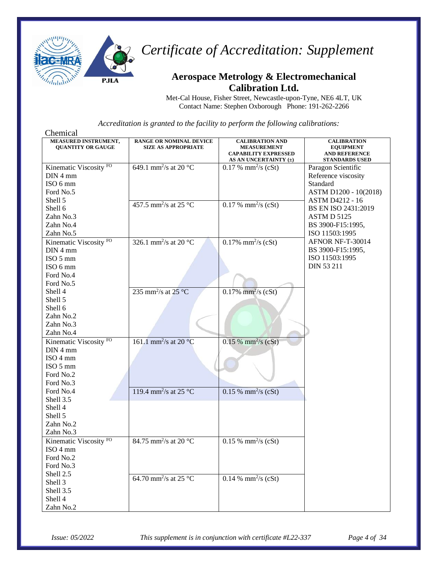

### **Aerospace Metrology & Electromechanical Calibration Ltd.**

Met-Cal House, Fisher Street, Newcastle-upon-Tyne, NE6 4LT, UK Contact Name: Stephen Oxborough Phone: 191-262-2266

| Chemical                                         |                                                              |                                                                                                      |                                                                                         |
|--------------------------------------------------|--------------------------------------------------------------|------------------------------------------------------------------------------------------------------|-----------------------------------------------------------------------------------------|
| MEASURED INSTRUMENT,<br><b>QUANTITY OR GAUGE</b> | <b>RANGE OR NOMINAL DEVICE</b><br><b>SIZE AS APPROPRIATE</b> | <b>CALIBRATION AND</b><br><b>MEASUREMENT</b><br><b>CAPABILITY EXPRESSED</b><br>AS AN UNCERTAINTY (±) | <b>CALIBRATION</b><br><b>EQUIPMENT</b><br><b>AND REFERENCE</b><br><b>STANDARDS USED</b> |
| Kinematic Viscosity <sup>FO</sup>                | 649.1 mm <sup>2</sup> /s at 20 $^{\circ}$ C                  | $0.17 %$ mm <sup>2</sup> /s (cSt)                                                                    | Paragon Scientific                                                                      |
| DIN 4 mm                                         |                                                              |                                                                                                      | Reference viscosity                                                                     |
| ISO 6 mm                                         |                                                              |                                                                                                      | Standard                                                                                |
| Ford No.5                                        |                                                              |                                                                                                      | ASTM D1200 - 10(2018)                                                                   |
| Shell 5                                          |                                                              |                                                                                                      | <b>ASTM D4212 - 16</b>                                                                  |
| Shell 6                                          | 457.5 mm <sup>2</sup> /s at 25 °C                            | $0.17 %$ mm <sup>2</sup> /s (cSt)                                                                    | BS EN ISO 2431:2019                                                                     |
| Zahn No.3                                        |                                                              |                                                                                                      | ASTM D 5125                                                                             |
| Zahn No.4                                        |                                                              |                                                                                                      | BS 3900-F15:1995,                                                                       |
| Zahn No.5                                        |                                                              |                                                                                                      | ISO 11503:1995                                                                          |
| Kinematic Viscosity <sup>FO</sup>                | 326.1 mm <sup>2</sup> /s at 20 $^{\circ}$ C                  | $0.17\%$ mm <sup>2</sup> /s (cSt)                                                                    | AFNOR NF-T-30014                                                                        |
| DIN 4 mm                                         |                                                              |                                                                                                      | BS 3900-F15:1995,                                                                       |
| ISO 5 mm                                         |                                                              |                                                                                                      | ISO 11503:1995                                                                          |
| ISO 6 mm                                         |                                                              |                                                                                                      | DIN 53 211                                                                              |
| Ford No.4                                        |                                                              |                                                                                                      |                                                                                         |
| Ford No.5                                        |                                                              |                                                                                                      |                                                                                         |
| Shell 4                                          | 235 mm <sup>2</sup> /s at $25^{\circ}$ C                     | $0.17\%$ mm <sup>2</sup> /s (cSt)                                                                    |                                                                                         |
| Shell 5                                          |                                                              |                                                                                                      |                                                                                         |
| Shell 6                                          |                                                              |                                                                                                      |                                                                                         |
| Zahn No.2                                        |                                                              |                                                                                                      |                                                                                         |
| Zahn No.3                                        |                                                              |                                                                                                      |                                                                                         |
| Zahn No.4                                        |                                                              |                                                                                                      |                                                                                         |
| Kinematic Viscosity <sup>FO</sup>                | 161.1 mm <sup>2</sup> /s at 20 $^{\circ}$ C                  | $0.15 %$ mm <sup>2</sup> /s (cSt)                                                                    |                                                                                         |
| $DIN$ 4 mm                                       |                                                              |                                                                                                      |                                                                                         |
| ISO 4 mm                                         |                                                              |                                                                                                      |                                                                                         |
| ISO 5 mm                                         |                                                              |                                                                                                      |                                                                                         |
| Ford No.2                                        |                                                              |                                                                                                      |                                                                                         |
| Ford No.3                                        |                                                              |                                                                                                      |                                                                                         |
| Ford No.4                                        | 119.4 mm <sup>2</sup> /s at 25 °C                            | $0.15 %$ mm <sup>2</sup> /s (cSt)                                                                    |                                                                                         |
| Shell 3.5                                        |                                                              |                                                                                                      |                                                                                         |
| Shell 4                                          |                                                              |                                                                                                      |                                                                                         |
| Shell 5                                          |                                                              |                                                                                                      |                                                                                         |
| Zahn No.2                                        |                                                              |                                                                                                      |                                                                                         |
| Zahn No.3                                        |                                                              |                                                                                                      |                                                                                         |
| Kinematic Viscosity <sup>FO</sup>                | 84.75 mm <sup>2</sup> /s at 20 °C                            | $0.15 %$ mm <sup>2</sup> /s (cSt)                                                                    |                                                                                         |
| ISO 4 mm                                         |                                                              |                                                                                                      |                                                                                         |
| Ford No.2                                        |                                                              |                                                                                                      |                                                                                         |
| Ford No.3                                        |                                                              |                                                                                                      |                                                                                         |
| Shell 2.5                                        | 64.70 mm <sup>2</sup> /s at 25 $\mathrm{^{\circ}C}$          | 0.14 % mm <sup>2</sup> /s (cSt)                                                                      |                                                                                         |
| Shell 3                                          |                                                              |                                                                                                      |                                                                                         |
| Shell 3.5                                        |                                                              |                                                                                                      |                                                                                         |
| Shell 4                                          |                                                              |                                                                                                      |                                                                                         |
| Zahn No.2                                        |                                                              |                                                                                                      |                                                                                         |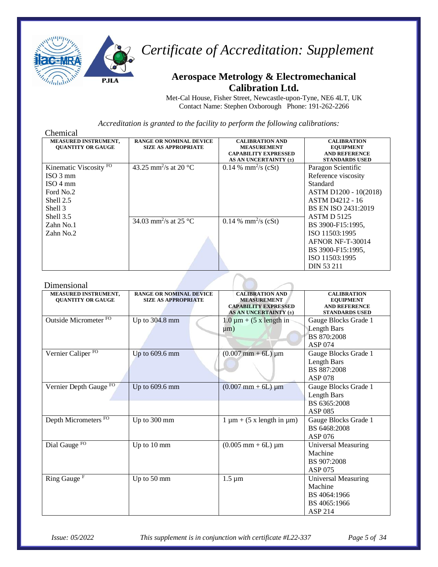

#### **Aerospace Metrology & Electromechanical Calibration Ltd.**

Met-Cal House, Fisher Street, Newcastle-upon-Tyne, NE6 4LT, UK Contact Name: Stephen Oxborough Phone: 191-262-2266

*Accreditation is granted to the facility to perform the following calibrations:*

| <b>RANGE OR NOMINAL DEVICE</b><br><b>SIZE AS APPROPRIATE</b>                        | <b>CALIBRATION AND</b><br><b>MEASUREMENT</b><br><b>CAPABILITY EXPRESSED</b><br>AS AN UNCERTAINTY (±) | <b>CALIBRATION</b><br><b>EQUIPMENT</b><br><b>AND REFERENCE</b><br><b>STANDARDS USED</b>                                                                                                                                                                               |
|-------------------------------------------------------------------------------------|------------------------------------------------------------------------------------------------------|-----------------------------------------------------------------------------------------------------------------------------------------------------------------------------------------------------------------------------------------------------------------------|
| 43.25 mm <sup>2</sup> /s at 20 °C<br>$\overline{34.03}$ mm <sup>2</sup> /s at 25 °C | $0.14\%$ mm <sup>2</sup> /s (cSt)<br>0.14 % mm <sup>2</sup> /s (cSt)                                 | Paragon Scientific<br>Reference viscosity<br>Standard<br>ASTM D1200 - 10(2018)<br><b>ASTM D4212 - 16</b><br>BS EN ISO 2431:2019<br><b>ASTM D 5125</b><br>BS 3900-F15:1995,<br>ISO 11503:1995<br>AFNOR NF-T-30014<br>BS 3900-F15:1995,<br>ISO 11503:1995<br>DIN 53 211 |
|                                                                                     |                                                                                                      |                                                                                                                                                                                                                                                                       |

#### Dimensional

| MEASURED INSTRUMENT,<br><b>OUANTITY OR GAUGE</b> | <b>RANGE OR NOMINAL DEVICE</b><br><b>SIZE AS APPROPRIATE</b> | <b>CALIBRATION AND</b><br><b>MEASUREMENT</b><br><b>CAPABILITY EXPRESSED</b><br>AS AN UNCERTAINTY (±) | <b>CALIBRATION</b><br><b>EQUIPMENT</b><br><b>AND REFERENCE</b><br><b>STANDARDS USED</b> |
|--------------------------------------------------|--------------------------------------------------------------|------------------------------------------------------------------------------------------------------|-----------------------------------------------------------------------------------------|
| Outside Micrometer FO                            | Up to 304.8 mm                                               | $1.0 \mu m + (5 \times \text{length in})$<br>$\mu$ m)                                                | Gauge Blocks Grade 1<br><b>Length Bars</b><br>BS 870:2008<br>ASP 074                    |
| Vernier Caliper <sup>FO</sup>                    | Up to 609.6 mm                                               | $(0.007 \text{ mm} + 6L) \mu \text{m}$                                                               | Gauge Blocks Grade 1<br>Length Bars<br>BS 887:2008<br><b>ASP 078</b>                    |
| Vernier Depth Gauge FO                           | Up to $609.6$ mm                                             | $(0.007 \text{ mm} + 6L) \mu \text{m}$                                                               | Gauge Blocks Grade 1<br>Length Bars<br>BS 6365:2008<br>ASP 085                          |
| Depth Micrometers FO                             | Up to 300 mm                                                 | $1 \mu m + (5 \times \text{length in } \mu m)$                                                       | Gauge Blocks Grade 1<br>BS 6468:2008<br>ASP 076                                         |
| Dial Gauge <sup>FO</sup>                         | Up to 10 mm                                                  | $(0.005 \text{ mm} + 6L) \mu \text{m}$                                                               | <b>Universal Measuring</b><br>Machine<br>BS 907:2008<br>ASP 075                         |
| Ring Gauge <sup>F</sup>                          | Up to 50 mm                                                  | $1.5 \,\mathrm{\upmu m}$                                                                             | <b>Universal Measuring</b><br>Machine<br>BS 4064:1966<br>BS 4065:1966<br>ASP 214        |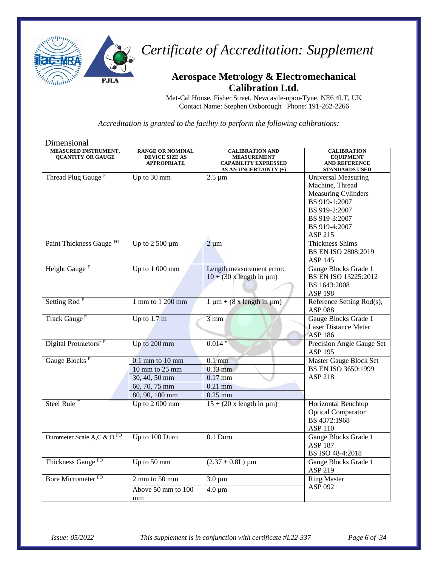

## **Aerospace Metrology & Electromechanical Calibration Ltd.**

Met-Cal House, Fisher Street, Newcastle-upon-Tyne, NE6 4LT, UK Contact Name: Stephen Oxborough Phone: 191-262-2266

| Dimensional                                      |                                                                        |                                                                                                      |                                                                                         |
|--------------------------------------------------|------------------------------------------------------------------------|------------------------------------------------------------------------------------------------------|-----------------------------------------------------------------------------------------|
| MEASURED INSTRUMENT,<br><b>QUANTITY OR GAUGE</b> | <b>RANGE OR NOMINAL</b><br><b>DEVICE SIZE AS</b><br><b>APPROPRIATE</b> | <b>CALIBRATION AND</b><br><b>MEASUREMENT</b><br><b>CAPABILITY EXPRESSED</b><br>AS AN UNCERTAINTY (±) | <b>CALIBRATION</b><br><b>EQUIPMENT</b><br><b>AND REFERENCE</b><br><b>STANDARDS USED</b> |
| Thread Plug Gauge <sup>F</sup>                   | Up to 30 mm                                                            | $2.5 \mu m$                                                                                          | <b>Universal Measuring</b>                                                              |
|                                                  |                                                                        |                                                                                                      | Machine, Thread                                                                         |
|                                                  |                                                                        |                                                                                                      | <b>Measuring Cylinders</b>                                                              |
|                                                  |                                                                        |                                                                                                      | BS 919-1:2007                                                                           |
|                                                  |                                                                        |                                                                                                      | BS 919-2:2007                                                                           |
|                                                  |                                                                        |                                                                                                      | BS 919-3:2007                                                                           |
|                                                  |                                                                        |                                                                                                      | BS 919-4:2007                                                                           |
|                                                  |                                                                        |                                                                                                      | ASP 215                                                                                 |
| Paint Thickness Gauge FO                         | Up to $2500 \mu m$                                                     | $2 \mu m$                                                                                            | <b>Thickness Shims</b>                                                                  |
|                                                  |                                                                        |                                                                                                      | BS EN ISO 2808:2019<br><b>ASP 145</b>                                                   |
| Height Gauge <sup>F</sup>                        | Up to 1 000 mm                                                         | Length measurement error:                                                                            | Gauge Blocks Grade 1                                                                    |
|                                                  |                                                                        | $10 + (30 \times \text{length in } \mu\text{m})$                                                     | BS EN ISO 13225:2012                                                                    |
|                                                  |                                                                        |                                                                                                      | BS 1643:2008                                                                            |
|                                                  |                                                                        |                                                                                                      | <b>ASP 198</b>                                                                          |
| Setting Rod <sup>F</sup>                         | 1 mm to 1 200 mm                                                       | $1 \mu m + (8 \times \text{length in } \mu m)$                                                       | Reference Setting Rod(s),                                                               |
|                                                  |                                                                        |                                                                                                      | <b>ASP 088</b>                                                                          |
| Track Gauge <sup>F</sup>                         | Up to $1.7 \text{ m}$                                                  | $3 \text{ mm}$                                                                                       | Gauge Blocks Grade 1                                                                    |
|                                                  |                                                                        |                                                                                                      | <b>Laser Distance Meter</b>                                                             |
|                                                  |                                                                        |                                                                                                      | <b>ASP 186</b>                                                                          |
| Digital Protractors' F                           | Up to 200 mm                                                           | $0.014$ °                                                                                            | Precision Angle Gauge Set                                                               |
|                                                  |                                                                        |                                                                                                      | <b>ASP 195</b>                                                                          |
| Gauge Blocks <sup>F</sup>                        | $0.1$ mm to $10$ mm                                                    | $0.1$ mm                                                                                             | Master Gauge Block Set                                                                  |
|                                                  | $10$ mm to $25$ mm                                                     | $0.13$ mm                                                                                            | BS EN ISO 3650:1999                                                                     |
|                                                  | 30, 40, 50 mm                                                          | $0.17$ mm                                                                                            | <b>ASP 218</b>                                                                          |
|                                                  | 60, 70, 75 mm                                                          | $0.21$ mm                                                                                            |                                                                                         |
|                                                  | 80, 90, 100 mm                                                         | $0.25$ mm                                                                                            |                                                                                         |
| Steel Rule <sup>F</sup>                          | Up to 2 000 mm                                                         | $15 + (20 \times \text{length in } \mu\text{m})$                                                     | Horizontal Benchtop                                                                     |
|                                                  |                                                                        |                                                                                                      | <b>Optical Comparator</b><br>BS 4372:1968                                               |
|                                                  |                                                                        |                                                                                                      | <b>ASP 110</b>                                                                          |
| Durometer Scale A,C & D <sup>FO</sup>            | Up to 100 Duro                                                         | 0.1 Duro                                                                                             | Gauge Blocks Grade 1                                                                    |
|                                                  |                                                                        |                                                                                                      | <b>ASP 187</b>                                                                          |
|                                                  |                                                                        |                                                                                                      | BS ISO 48-4:2018                                                                        |
| Thickness Gauge <sup>FO</sup>                    | Up to $50 \text{ mm}$                                                  | $(2.37 + 0.8L) \mu m$                                                                                | Gauge Blocks Grade 1                                                                    |
|                                                  |                                                                        |                                                                                                      | ASP 219                                                                                 |
| Bore Micrometer <sup>FO</sup>                    | $\overline{2}$ mm to 50 mm                                             | $3.0 \,\mathrm{\upmu m}$                                                                             | <b>Ring Master</b>                                                                      |
|                                                  | Above 50 mm to 100                                                     | $4.0 \,\mathrm{\upmu m}$                                                                             | ASP 092                                                                                 |
|                                                  | mm                                                                     |                                                                                                      |                                                                                         |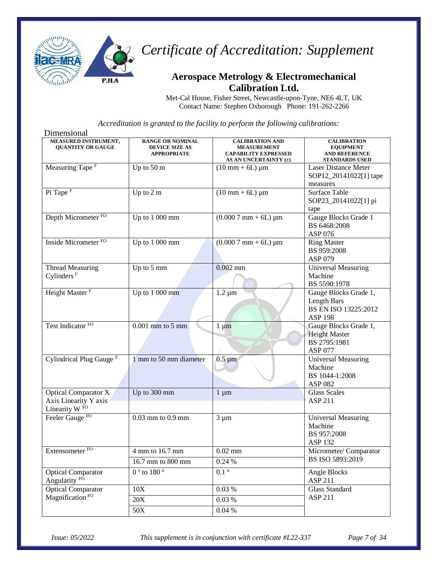

### **Aerospace Metrology & Electromechanical Calibration Ltd.**

Met-Cal House, Fisher Street, Newcastle-upon-Tyne, NE6 4LT, UK Contact Name: Stephen Oxborough Phone: 191-262-2266

| Dimensional                                                                       |                                                                        |                                                                                                      |                                                                                         |
|-----------------------------------------------------------------------------------|------------------------------------------------------------------------|------------------------------------------------------------------------------------------------------|-----------------------------------------------------------------------------------------|
| <b>MEASURED INSTRUMENT,</b><br><b>QUANTITY OR GAUGE</b>                           | <b>RANGE OR NOMINAL</b><br><b>DEVICE SIZE AS</b><br><b>APPROPRIATE</b> | <b>CALIBRATION AND</b><br><b>MEASUREMENT</b><br><b>CAPABILITY EXPRESSED</b><br>AS AN UNCERTAINTY (±) | <b>CALIBRATION</b><br><b>EQUIPMENT</b><br><b>AND REFERENCE</b><br><b>STANDARDS USED</b> |
| Measuring Tape <sup>F</sup>                                                       | Up to 50 m                                                             | $(10 \text{ mm} + 6L) \mu m$                                                                         | <b>Laser Distance Meter</b><br>SOP12_20141022[1] tape<br>measures                       |
| Pi Tape <sup>F</sup>                                                              | Up to $2 \overline{m}$                                                 | $(10 \text{ mm} + 6L) \mu m$                                                                         | Surface Table<br>SOP23_20141022[1] pi<br>tape                                           |
| Depth Micrometer <sup>FO</sup>                                                    | Up to 1 000 mm                                                         | $(0.0007$ mm + 6L) $\mu$ m                                                                           | Gauge Blocks Grade 1<br>BS 6468:2008<br>ASP 076                                         |
| Inside Micrometer <sup>FO</sup>                                                   | Up to 1 000 mm                                                         | $(0.0007$ mm + 6L) $\mu$ m                                                                           | <b>Ring Master</b><br>BS 959:2008<br>ASP 079                                            |
| <b>Thread Measuring</b><br>Cylinders <sup>F</sup>                                 | Up to 5 mm                                                             | $0.002$ mm                                                                                           | <b>Universal Measuring</b><br>Machine<br>BS 5590:1978                                   |
| Height Master <sup>F</sup>                                                        | Up to $1000$ mm                                                        | $1.2 \mu m$                                                                                          | Gauge Blocks Grade 1,<br>Length Bars<br>BS EN ISO 13225:2012<br><b>ASP 198</b>          |
| Test Indicator <sup>FO</sup>                                                      | $0.001$ mm to $5$ mm                                                   | $1 \mu m$                                                                                            | Gauge Blocks Grade 1,<br><b>Height Master</b><br>BS 2795:1981<br><b>ASP 077</b>         |
| Cylindrical Plug Gauge <sup>F</sup>                                               | 1 mm to 50 mm diameter                                                 | $0.5 \mu m$                                                                                          | <b>Universal Measuring</b><br>Machine<br>BS 1044-1:2008<br>ASP 082                      |
| <b>Optical Comparator X</b><br>Axis Linearity Y axis<br>Linearity W <sup>FO</sup> | Up to 300 mm                                                           | $1 \mu m$                                                                                            | <b>Glass Scales</b><br><b>ASP 211</b>                                                   |
| Feeler Gauge <sup>FO</sup>                                                        | 0.03 mm to 0.9 mm                                                      | $3 \mu m$                                                                                            | <b>Universal Measuring</b><br>Machine<br>BS 957:2008<br><b>ASP 132</b>                  |
| Extensometer <sup>FO</sup>                                                        | 4 mm to 16.7 mm                                                        | $0.02$ mm                                                                                            | Micrometer/Comparator                                                                   |
|                                                                                   | 16.7 mm to 800 mm                                                      | 0.24%                                                                                                | BS ISO 5893:2019                                                                        |
| <b>Optical Comparator</b><br>Angularity <sup>FO</sup>                             | $0°$ to $180°$                                                         | $\overline{0.1^{\circ}}$                                                                             | Angle Blocks<br>ASP 211                                                                 |
| <b>Optical Comparator</b>                                                         | 10X                                                                    | 0.03 %                                                                                               | <b>Glass Standard</b>                                                                   |
| Magnification <sup>FO</sup>                                                       | 20X                                                                    | 0.03%                                                                                                | ASP 211                                                                                 |
|                                                                                   | 50X                                                                    | 0.04%                                                                                                |                                                                                         |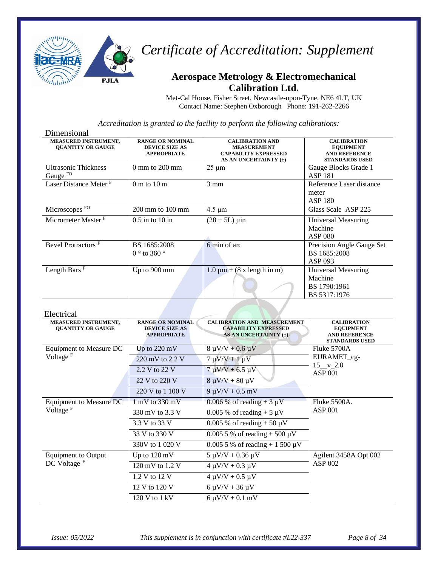

### **Aerospace Metrology & Electromechanical Calibration Ltd.**

Met-Cal House, Fisher Street, Newcastle-upon-Tyne, NE6 4LT, UK Contact Name: Stephen Oxborough Phone: 191-262-2266

*Accreditation is granted to the facility to perform the following calibrations:*

| Dimensional                                        |                                                                        |                                                                                                      |                                                                                         |
|----------------------------------------------------|------------------------------------------------------------------------|------------------------------------------------------------------------------------------------------|-----------------------------------------------------------------------------------------|
| MEASURED INSTRUMENT,<br><b>OUANTITY OR GAUGE</b>   | <b>RANGE OR NOMINAL</b><br><b>DEVICE SIZE AS</b><br><b>APPROPRIATE</b> | <b>CALIBRATION AND</b><br><b>MEASUREMENT</b><br><b>CAPABILITY EXPRESSED</b><br>AS AN UNCERTAINTY (±) | <b>CALIBRATION</b><br><b>EQUIPMENT</b><br><b>AND REFERENCE</b><br><b>STANDARDS USED</b> |
| <b>Ultrasonic Thickness</b><br>Gauge <sup>FO</sup> | $0 \text{ mm}$ to $200 \text{ mm}$                                     | $25 \mu m$                                                                                           | Gauge Blocks Grade 1<br><b>ASP 181</b>                                                  |
| Laser Distance Meter F                             | $0 \text{ m}$ to $10 \text{ m}$                                        | $3 \text{ mm}$                                                                                       | Reference Laser distance<br>meter<br>ASP 180                                            |
| Microscopes FO                                     | $200 \text{ mm}$ to $100 \text{ mm}$                                   | $4.5 \mu m$                                                                                          | Glass Scale ASP 225                                                                     |
| Micrometer Master <sup>F</sup>                     | $0.5$ in to $10$ in                                                    | $(28 + 5L) \,\mu \text{in}$                                                                          | Universal Measuring<br>Machine<br><b>ASP 080</b>                                        |
| Bevel Protractors <sup>F</sup>                     | BS 1685:2008<br>$0^{\circ}$ to 360 $^{\circ}$                          | 6 min of arc                                                                                         | Precision Angle Gauge Set<br>BS 1685:2008<br>ASP 093                                    |
| Length Bars <sup>F</sup>                           | Up to $900 \text{ mm}$                                                 | $1.0 \mu m + (8 \times \text{length in m})$                                                          | Universal Measuring<br>Machine<br>BS 1790:1961<br>BS 5317:1976                          |

#### Electrical

| <b>MEASURED INSTRUMENT,</b><br><b>QUANTITY OR GAUGE</b> | <b>RANGE OR NOMINAL</b><br><b>DEVICE SIZE AS</b><br><b>APPROPRIATE</b> | <b>CALIBRATION AND MEASUREMENT</b><br><b>CAPABILITY EXPRESSED</b><br>AS AN UNCERTAINTY (±) | <b>CALIBRATION</b><br><b>EQUIPMENT</b><br><b>AND REFERENCE</b><br><b>STANDARDS USED</b> |  |
|---------------------------------------------------------|------------------------------------------------------------------------|--------------------------------------------------------------------------------------------|-----------------------------------------------------------------------------------------|--|
| Equipment to Measure DC                                 | Up to $220 \text{ mV}$                                                 | $8 \mu V/V + 0.6 \mu V$                                                                    | Fluke 5700A                                                                             |  |
| Voltage <sup>F</sup>                                    | 220 mV to $2.2$ V                                                      | $7 \mu V/V + 1 \mu V$                                                                      | EURAMET_cg-<br>$15 \text{V} 2.0$                                                        |  |
|                                                         | 2.2 V to 22 V                                                          | $7 \mu V/V + 6.5 \mu V$                                                                    | <b>ASP 001</b>                                                                          |  |
|                                                         | 22 V to 220 V                                                          | $8 \mu V/V + 80 \mu V$                                                                     |                                                                                         |  |
|                                                         | 220 V to 1 100 V                                                       | $9 \mu V/V + 0.5 \ mV$                                                                     |                                                                                         |  |
| Equipment to Measure DC                                 | $1 \text{ mV}$ to 330 mV                                               | 0.006 % of reading + $3 \mu V$                                                             | Fluke 5500A.                                                                            |  |
| Voltage <sup>F</sup>                                    | 330 mV to 3.3 V                                                        | 0.005 % of reading $+5 \mu V$                                                              | <b>ASP 001</b>                                                                          |  |
|                                                         | 3.3 V to 33 V                                                          | 0.005 % of reading + 50 $\mu$ V                                                            |                                                                                         |  |
|                                                         | 33 V to 330 V                                                          | 0.005 5 % of reading $+ 500 \mu V$                                                         |                                                                                         |  |
|                                                         | 330V to 1 020 V                                                        | $0.0055\%$ of reading + 1 500 µV                                                           |                                                                                         |  |
| <b>Equipment to Output</b>                              | Up to $120 \text{ mV}$                                                 | $5 \mu V/V + 0.36 \mu V$                                                                   | Agilent 3458A Opt 002                                                                   |  |
| DC Voltage <sup>F</sup>                                 | 120 mV to $1.2$ V                                                      | $4 \mu V/V + 0.3 \mu V$                                                                    | ASP 002                                                                                 |  |
|                                                         | 1.2 V to 12 V                                                          | $4 \mu V/V + 0.5 \mu V$                                                                    |                                                                                         |  |
|                                                         | 12 V to 120 V                                                          | $6 \mu V/V + 36 \mu V$                                                                     |                                                                                         |  |
|                                                         | $120$ V to $1$ kV                                                      | $6 \mu V/V + 0.1 \ mV$                                                                     |                                                                                         |  |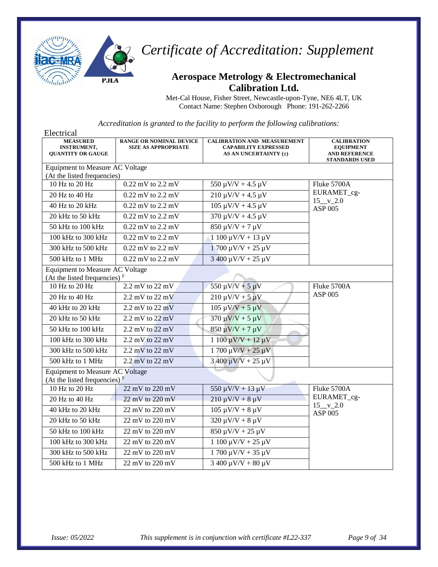

#### **Aerospace Metrology & Electromechanical Calibration Ltd.**

Met-Cal House, Fisher Street, Newcastle-upon-Tyne, NE6 4LT, UK Contact Name: Stephen Oxborough Phone: 191-262-2266

| Electrical                                                                |                                                              |                                                                                            |                                                                                         |
|---------------------------------------------------------------------------|--------------------------------------------------------------|--------------------------------------------------------------------------------------------|-----------------------------------------------------------------------------------------|
| <b>MEASURED</b><br><b>INSTRUMENT,</b><br><b>OUANTITY OR GAUGE</b>         | <b>RANGE OR NOMINAL DEVICE</b><br><b>SIZE AS APPROPRIATE</b> | <b>CALIBRATION AND MEASUREMENT</b><br><b>CAPABILITY EXPRESSED</b><br>AS AN UNCERTAINTY (±) | <b>CALIBRATION</b><br><b>EQUIPMENT</b><br><b>AND REFERENCE</b><br><b>STANDARDS USED</b> |
| <b>Equipment to Measure AC Voltage</b>                                    |                                                              |                                                                                            |                                                                                         |
| (At the listed frequencies)                                               |                                                              |                                                                                            |                                                                                         |
| $\overline{10}$ Hz to 20 Hz                                               | 0.22 mV to 2.2 mV                                            | $550 \mu V/V + 4.5 \mu V$                                                                  | Fluke 5700A                                                                             |
| 20 Hz to 40 Hz                                                            | $0.22$ mV to $2.2$ mV                                        | $210 \mu V/V + 4.5 \mu V$                                                                  | EURAMET_cg-<br>$15 \underline{v} 2.0$                                                   |
| 40 Hz to 20 kHz                                                           | $0.22$ mV to $2.2$ mV                                        | $105 \mu V/V + 4.5 \mu V$                                                                  | ASP 005                                                                                 |
| 20 kHz to 50 kHz                                                          | $0.22$ mV to $2.2$ mV                                        | $370 \mu V/V + 4.5 \mu V$                                                                  |                                                                                         |
| 50 kHz to 100 kHz                                                         | $0.22$ mV to $2.2$ mV                                        | $850 \mu V/V + 7 \mu V$                                                                    |                                                                                         |
| 100 kHz to 300 kHz                                                        | $0.22$ mV to $2.2$ mV                                        | $1100 \mu V/V + 13 \mu V$                                                                  |                                                                                         |
| 300 kHz to 500 kHz                                                        | $0.22$ mV to $2.2$ mV                                        | $1700 \mu V/V + 25 \mu V$                                                                  |                                                                                         |
| 500 kHz to 1 MHz                                                          | $0.22$ mV to $2.2$ mV                                        | $3400 \mu V/V + 25 \mu V$                                                                  |                                                                                         |
| Equipment to Measure AC Voltage<br>(At the listed frequencies) $F$        |                                                              |                                                                                            |                                                                                         |
| 10 Hz to 20 Hz                                                            | $2.2$ mV to $22$ mV                                          | $550 \mu V/V + 5 \mu V$                                                                    | Fluke 5700A                                                                             |
| 20 Hz to 40 Hz                                                            | $2.2 \text{ mV}$ to $22 \text{ mV}$                          | $210 \mu V/V + 5 \mu V$                                                                    | <b>ASP 005</b>                                                                          |
| 40 kHz to 20 kHz                                                          | $2.2 \text{ mV}$ to $22 \text{ mV}$                          | $105 \mu V/V + 5 \mu V$                                                                    |                                                                                         |
| $20$ kHz to $50$ kHz                                                      | 2.2 mV to $22$ mV                                            | $370 \mu V/V + 5 \mu V$                                                                    |                                                                                         |
| 50 kHz to 100 kHz                                                         | $2.2 \text{ mV}$ to $22 \text{ mV}$                          | $850 \mu V/V + 7 \mu V$                                                                    |                                                                                         |
| 100 kHz to 300 kHz                                                        | $2.2$ mV to $22$ mV                                          | $1100 \mu V/V + 12 \mu V$                                                                  |                                                                                         |
| 300 kHz to 500 kHz                                                        | $2.2 \text{ mV}$ to $22 \text{ mV}$                          | $1700 \mu V/V + 25 \mu V$                                                                  |                                                                                         |
| 500 kHz to 1 MHz                                                          | $2.2 \text{ mV}$ to $22 \text{ mV}$                          | $3\,400\,\mu\text{V/V} + 25\,\mu\text{V}$                                                  |                                                                                         |
| <b>Equipment to Measure AC Voltage</b><br>(At the listed frequencies) $F$ |                                                              |                                                                                            |                                                                                         |
| 10 Hz to 20 Hz                                                            | 22 mV to 220 mV                                              | $550 \mu V/V + 13 \mu V$                                                                   | Fluke 5700A                                                                             |
| $20$ Hz to $40$ Hz                                                        | $22$ mV to $220$ mV                                          | $210 \mu V/V + 8 \mu V$                                                                    | EURAMET_cg-                                                                             |
| 40 kHz to 20 kHz                                                          | 22 mV to 220 mV                                              | $105 \mu V/V + 8 \mu V$                                                                    | $15_v_2.0$<br><b>ASP 005</b>                                                            |
| 20 kHz to 50 kHz                                                          | 22 mV to 220 mV                                              | $320 \mu V/V + 8 \mu V$                                                                    |                                                                                         |
| 50 kHz to 100 kHz                                                         | 22 mV to 220 mV                                              | $850 \mu V/V + 25 \mu V$                                                                   |                                                                                         |
| 100 kHz to 300 kHz                                                        | 22 mV to 220 mV                                              | $1100 \mu V/V + 25 \mu V$                                                                  |                                                                                         |
| 300 kHz to 500 kHz                                                        | 22 mV to 220 mV                                              | $1700 \mu V/V + 35 \mu V$                                                                  |                                                                                         |
| 500 kHz to 1 MHz                                                          | 22 mV to 220 mV                                              | $3400 \mu V/V + 80 \mu V$                                                                  |                                                                                         |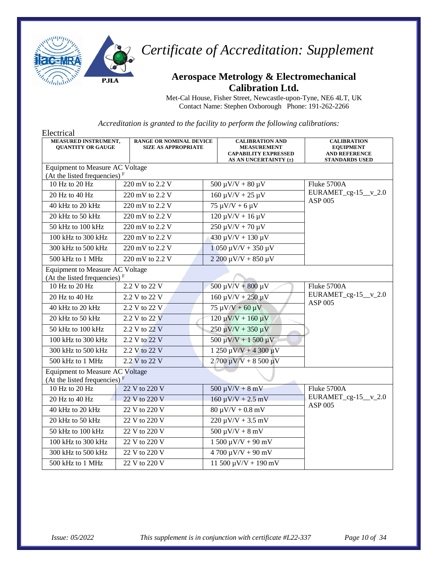

## **Aerospace Metrology & Electromechanical Calibration Ltd.**

Met-Cal House, Fisher Street, Newcastle-upon-Tyne, NE6 4LT, UK Contact Name: Stephen Oxborough Phone: 191-262-2266

| Electrical                                                         |                                                              |                                                                                                      |                                                                                         |
|--------------------------------------------------------------------|--------------------------------------------------------------|------------------------------------------------------------------------------------------------------|-----------------------------------------------------------------------------------------|
| MEASURED INSTRUMENT,<br><b>QUANTITY OR GAUGE</b>                   | <b>RANGE OR NOMINAL DEVICE</b><br><b>SIZE AS APPROPRIATE</b> | <b>CALIBRATION AND</b><br><b>MEASUREMENT</b><br><b>CAPABILITY EXPRESSED</b><br>AS AN UNCERTAINTY (±) | <b>CALIBRATION</b><br><b>EQUIPMENT</b><br><b>AND REFERENCE</b><br><b>STANDARDS USED</b> |
| Equipment to Measure AC Voltage                                    |                                                              |                                                                                                      |                                                                                         |
| (At the listed frequencies) $F$                                    |                                                              |                                                                                                      |                                                                                         |
| 10 Hz to 20 Hz                                                     | 220 mV to 2.2 V                                              | $500 \mu V/V + 80 \mu V$                                                                             | Fluke 5700A                                                                             |
| 20 Hz to 40 Hz                                                     | 220 mV to 2.2 V                                              | $160 \mu V/V + 25 \mu V$                                                                             | EURAMET_cg-15_v_2.0<br><b>ASP 005</b>                                                   |
| 40 kHz to 20 kHz                                                   | 220 mV to 2.2 V                                              | $75 \mu V/V + 6 \mu V$                                                                               |                                                                                         |
| 20 kHz to 50 kHz                                                   | 220 mV to 2.2 V                                              | $120 \mu V/V + 16 \mu V$                                                                             |                                                                                         |
| 50 kHz to 100 kHz                                                  | 220 mV to 2.2 V                                              | $250 \mu V/V + 70 \mu V$                                                                             |                                                                                         |
| 100 kHz to 300 kHz                                                 | 220 mV to 2.2 V                                              | $430 \mu V/V + 130 \mu V$                                                                            |                                                                                         |
| 300 kHz to 500 kHz                                                 | 220 mV to 2.2 V                                              | $1050 \mu V/V + 350 \mu V$                                                                           |                                                                                         |
| 500 kHz to 1 MHz                                                   | 220 mV to 2.2 V                                              | $2200 \mu V/V + 850 \mu V$                                                                           |                                                                                         |
| Equipment to Measure AC Voltage<br>(At the listed frequencies) $F$ |                                                              |                                                                                                      |                                                                                         |
| 10 Hz to 20 Hz                                                     | 2.2 V to 22 V                                                | $500 \mu V/V + 800 \mu V$                                                                            | Fluke 5700A                                                                             |
| 20 Hz to 40 Hz                                                     | 2.2 V to 22 V                                                | $160 \mu V/V + 250 \mu V$                                                                            | $EURAMET_cg-15_v_2.0$<br><b>ASP 005</b>                                                 |
| 40 kHz to 20 kHz                                                   | 2.2 V to 22 V                                                | $75 \mu V/V + 60 \mu V$                                                                              |                                                                                         |
| 20 kHz to 50 kHz                                                   | $2.2 V$ to 22 V                                              | $120 \mu V/V + 160 \mu V$                                                                            |                                                                                         |
| 50 kHz to 100 kHz                                                  | 2.2 V to 22 V                                                | $250 \mu V/V + 350 \mu V$                                                                            |                                                                                         |
| 100 kHz to 300 kHz                                                 | 2.2 V to 22 V                                                | $500 \mu V/V + 1500 \mu V$                                                                           |                                                                                         |
| 300 kHz to 500 kHz                                                 | 2.2 V to 22 V                                                | $1250 \mu V/V + 4300 \mu V$                                                                          |                                                                                         |
| 500 kHz to 1 MHz                                                   | 2.2 V to 22 V                                                | $2700 \mu V/V + 8500 \mu V$                                                                          |                                                                                         |
| Equipment to Measure AC Voltage<br>(At the listed frequencies) $F$ |                                                              |                                                                                                      |                                                                                         |
| 10 Hz to 20 Hz                                                     | 22 V to 220 V                                                | $500 \mu V/V + 8 \mu V$                                                                              | Fluke 5700A                                                                             |
| 20 Hz to 40 Hz                                                     | 22 V to 220 V                                                | $160 \mu V/V + 2.5 \mu V$                                                                            | $EURAMET_cg-15_v_2.0$                                                                   |
| 40 kHz to 20 kHz                                                   | 22 V to 220 V                                                | $80 \mu V/V + 0.8 \ mV$                                                                              | ASP 005                                                                                 |
| 20 kHz to 50 kHz                                                   | 22 V to 220 V                                                | $220 \mu V/V + 3.5 \ mV$                                                                             |                                                                                         |
| 50 kHz to 100 kHz                                                  | 22 V to 220 V                                                | $500 \mu V/V + 8 \mu V$                                                                              |                                                                                         |
| 100 kHz to 300 kHz                                                 | 22 V to 220 V                                                | $1500 \mu V/V + 90 \mu V$                                                                            |                                                                                         |
| 300 kHz to 500 kHz                                                 | 22 V to 220 V                                                | $4700 \mu V/V + 90 \mu V$                                                                            |                                                                                         |
| 500 kHz to 1 MHz                                                   | 22 V to 220 V                                                | $11\,500\,\mu\text{V/V} + 190\,\text{mV}$                                                            |                                                                                         |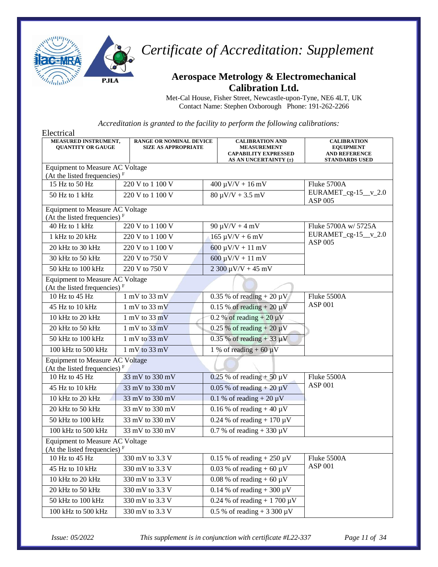

#### **Aerospace Metrology & Electromechanical Calibration Ltd.**

Met-Cal House, Fisher Street, Newcastle-upon-Tyne, NE6 4LT, UK Contact Name: Stephen Oxborough Phone: 191-262-2266

*Accreditation is granted to the facility to perform the following calibrations:*

| Electrical                                                         |                                                              |                               |                                                                                                      |                                                                                         |
|--------------------------------------------------------------------|--------------------------------------------------------------|-------------------------------|------------------------------------------------------------------------------------------------------|-----------------------------------------------------------------------------------------|
| MEASURED INSTRUMENT,<br><b>QUANTITY OR GAUGE</b>                   | <b>RANGE OR NOMINAL DEVICE</b><br><b>SIZE AS APPROPRIATE</b> |                               | <b>CALIBRATION AND</b><br><b>MEASUREMENT</b><br><b>CAPABILITY EXPRESSED</b><br>AS AN UNCERTAINTY (±) | <b>CALIBRATION</b><br><b>EQUIPMENT</b><br><b>AND REFERENCE</b><br><b>STANDARDS USED</b> |
| Equipment to Measure AC Voltage                                    |                                                              |                               |                                                                                                      |                                                                                         |
| (At the listed frequencies) $F$<br>15 Hz to 50 Hz                  | 220 V to 1 100 V                                             |                               | $400 \mu V/V + 16 \ mV$                                                                              | Fluke 5700A                                                                             |
| 50 Hz to 1 kHz                                                     | 220 V to 1 100 V                                             |                               | $80 \mu V/V + 3.5 \ mV$                                                                              | $EURAMET_cg-15_v_2.0$                                                                   |
| Equipment to Measure AC Voltage                                    |                                                              |                               |                                                                                                      | <b>ASP 005</b>                                                                          |
| (At the listed frequencies) $F$                                    |                                                              |                               |                                                                                                      |                                                                                         |
| 40 Hz to 1 kHz                                                     | 220 V to 1 100 V                                             |                               | $90 \mu V/V + 4 \ mV$                                                                                | Fluke 5700A w/ 5725A                                                                    |
| 1 kHz to 20 kHz                                                    | 220 V to 1 100 V                                             |                               | $165 \mu V/V + 6 \mu V$                                                                              | $EURAMET_cg-15_v_2.0$                                                                   |
| 20 kHz to 30 kHz                                                   | 220 V to 1 100 V                                             |                               | $600 \mu V/V + 11 \mu V$                                                                             | <b>ASP 005</b>                                                                          |
| 30 kHz to 50 kHz                                                   | 220 V to 750 V                                               |                               | $600 \mu V/V + 11 \mu V$                                                                             |                                                                                         |
| 50 kHz to 100 kHz                                                  | 220 V to 750 V                                               |                               | $2300 \mu V/V + 45 \mu V$                                                                            |                                                                                         |
| Equipment to Measure AC Voltage<br>(At the listed frequencies) $F$ |                                                              |                               |                                                                                                      |                                                                                         |
| 10 Hz to 45 Hz                                                     | $1 \text{ mV}$ to 33 mV                                      |                               | $0.35\%$ of reading + 20 $\mu$ V                                                                     | Fluke 5500A                                                                             |
| 45 Hz to 10 kHz                                                    | $1 \text{ mV}$ to $33 \text{ mV}$                            | 0.15 % of reading $+20 \mu V$ |                                                                                                      | <b>ASP 001</b>                                                                          |
| 10 kHz to 20 kHz                                                   | $1 \text{ mV}$ to 33 mV                                      |                               | 0.2 % of reading $+20 \mu V$                                                                         |                                                                                         |
| 20 kHz to 50 kHz                                                   | $1 \text{ mV}$ to $33 \text{ mV}$                            |                               | $0.25\%$ of reading + 20 $\mu$ V                                                                     |                                                                                         |
| 50 kHz to 100 kHz                                                  | $1 \text{ mV}$ to $33 \text{ mV}$                            |                               | $0.35\%$ of reading + 33 $\mu$ V                                                                     |                                                                                         |
| 100 kHz to 500 kHz                                                 | $1 \text{ mV}$ to 33 mV                                      |                               | 1 % of reading $+ 60 \mu V$                                                                          |                                                                                         |
| <b>Equipment to Measure AC Voltage</b>                             |                                                              |                               |                                                                                                      |                                                                                         |
| (At the listed frequencies) $F$<br>10 Hz to 45 Hz                  | 33 mV to 330 mV                                              |                               | $0.25$ % of reading + 50 $\mu$ V                                                                     | Fluke 5500A                                                                             |
| 45 Hz to 10 kHz                                                    | 33 mV to 330 mV                                              |                               | $0.05\%$ of reading + 20 $\mu$ V                                                                     | <b>ASP 001</b>                                                                          |
| 10 kHz to 20 kHz                                                   | 33 mV to 330 mV                                              |                               | 0.1 % of reading $+20 \mu V$                                                                         |                                                                                         |
| 20 kHz to 50 kHz                                                   | 33 mV to 330 mV                                              |                               | 0.16 % of reading $+40 \mu V$                                                                        |                                                                                         |
| 50 kHz to 100 kHz                                                  | 33 mV to 330 mV                                              |                               | 0.24 % of reading $+170 \mu V$                                                                       |                                                                                         |
| 100 kHz to 500 kHz                                                 | 33 mV to 330 mV                                              |                               |                                                                                                      |                                                                                         |
| Equipment to Measure AC Voltage                                    |                                                              |                               | 0.7 % of reading $+330 \mu V$                                                                        |                                                                                         |
| (At the listed frequencies) $F$                                    |                                                              |                               |                                                                                                      |                                                                                         |
| 10 Hz to 45 Hz                                                     | 330 mV to 3.3 V                                              |                               | 0.15 % of reading $+250 \mu V$                                                                       | Fluke 5500A                                                                             |
| 45 Hz to 10 kHz                                                    | 330 mV to 3.3 V                                              |                               | 0.03 % of reading + 60 $\mu$ V                                                                       | <b>ASP 001</b>                                                                          |
| 10 kHz to 20 kHz                                                   | 330 mV to 3.3 V                                              |                               | $0.08\%$ of reading + 60 $\mu$ V                                                                     |                                                                                         |
| 20 kHz to 50 kHz                                                   | 330 mV to 3.3 V                                              |                               | $0.14\%$ of reading + 300 $\mu$ V                                                                    |                                                                                         |
| 50 kHz to 100 kHz                                                  | 330 mV to 3.3 V                                              |                               | 0.24 % of reading + 1 700 $\mu$ V                                                                    |                                                                                         |
| 100 kHz to 500 kHz                                                 | 330 mV to 3.3 V                                              |                               | 0.5 % of reading + 3 300 $\mu$ V                                                                     |                                                                                         |

*Issue: 05/2022 This supplement is in conjunction with certificate #L22-337 Page 11 of 34*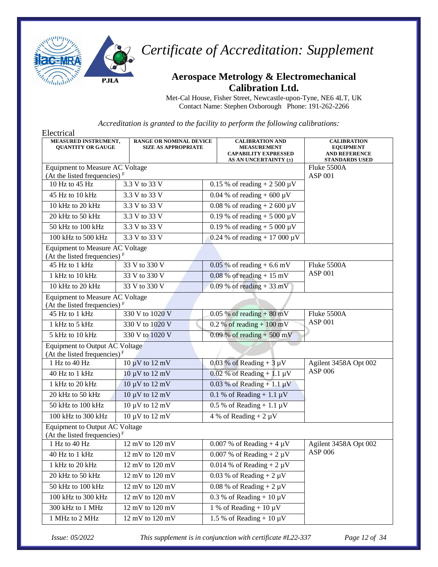

## **Aerospace Metrology & Electromechanical Calibration Ltd.**

Met-Cal House, Fisher Street, Newcastle-upon-Tyne, NE6 4LT, UK Contact Name: Stephen Oxborough Phone: 191-262-2266

*Accreditation is granted to the facility to perform the following calibrations:*

| Electrical                                                                  |                                                              |                                                                                                      |                                                                                         |
|-----------------------------------------------------------------------------|--------------------------------------------------------------|------------------------------------------------------------------------------------------------------|-----------------------------------------------------------------------------------------|
| MEASURED INSTRUMENT,<br><b>QUANTITY OR GAUGE</b>                            | <b>RANGE OR NOMINAL DEVICE</b><br><b>SIZE AS APPROPRIATE</b> | <b>CALIBRATION AND</b><br><b>MEASUREMENT</b><br><b>CAPABILITY EXPRESSED</b><br>AS AN UNCERTAINTY (±) | <b>CALIBRATION</b><br><b>EQUIPMENT</b><br><b>AND REFERENCE</b><br><b>STANDARDS USED</b> |
| Equipment to Measure AC Voltage<br>(At the listed frequencies) $F$          |                                                              |                                                                                                      | Fluke 5500A<br><b>ASP 001</b>                                                           |
| 10 Hz to 45 Hz                                                              | $3.3 V$ to 33 V                                              | 0.15 % of reading + 2 500 $\mu$ V                                                                    |                                                                                         |
| 45 Hz to 10 kHz                                                             | 3.3 V to 33 V                                                | 0.04 % of reading $+600 \mu V$                                                                       |                                                                                         |
| 10 kHz to 20 kHz                                                            | 3.3 V to 33 V                                                | 0.08 % of reading + 2 600 $\mu$ V                                                                    |                                                                                         |
| 20 kHz to 50 kHz                                                            | 3.3 V to 33 V                                                | 0.19 % of reading + 5 000 $\mu$ V                                                                    |                                                                                         |
| 50 kHz to 100 kHz                                                           | 3.3 V to 33 V                                                | 0.19 % of reading + 5 000 $\mu$ V                                                                    |                                                                                         |
| 100 kHz to 500 kHz                                                          | 3.3 V to 33 V                                                | 0.24 % of reading + 17 000 $\mu$ V                                                                   |                                                                                         |
| Equipment to Measure AC Voltage<br>(At the listed frequencies) $F$          |                                                              |                                                                                                      |                                                                                         |
| 45 Hz to 1 kHz                                                              | 33 V to 330 V                                                | $0.05\%$ of reading + 6.6 mV                                                                         | Fluke 5500A                                                                             |
| 1 kHz to 10 kHz                                                             | 33 V to 330 V                                                | $0.08\%$ of reading + 15 mV                                                                          | <b>ASP 001</b>                                                                          |
| 10 kHz to 20 kHz                                                            | 33 V to 330 V                                                | $0.09\%$ of reading + 33 mV                                                                          |                                                                                         |
| Equipment to Measure AC Voltage<br>(At the listed frequencies) <sup>F</sup> |                                                              |                                                                                                      |                                                                                         |
| 45 Hz to 1 kHz                                                              | 330 V to 1020 V                                              | $0.05\%$ of reading + 80 mV                                                                          | Fluke 5500A                                                                             |
| 1 kHz to 5 kHz                                                              | 330 V to 1020 V                                              | $0.2 %$ of reading + 100 mV                                                                          | <b>ASP 001</b>                                                                          |
| 5 kHz to 10 kHz                                                             | 330 V to 1020 V                                              | 0.09 % of reading $+500$ mV                                                                          |                                                                                         |
| <b>Equipment to Output AC Voltage</b><br>(At the listed frequencies) $F$    |                                                              |                                                                                                      |                                                                                         |
| 1 Hz to 40 Hz                                                               | $10 \mu V$ to $12 \mu V$                                     | 0.03 % of Reading + $3 \mu V$                                                                        | Agilent 3458A Opt 002                                                                   |
| 40 Hz to 1 kHz                                                              | $10 \mu V$ to $12 \mu V$                                     | $0.02$ % of Reading + 1.1 µV                                                                         | ASP 006                                                                                 |
| 1 kHz to 20 kHz                                                             | $10 \mu V$ to $12 \mu V$                                     | 0.03 % of Reading + $1.1 \mu V$                                                                      |                                                                                         |
| 20 kHz to 50 kHz                                                            | $10 \mu V$ to $12 \mu V$                                     | 0.1 % of Reading + 1.1 $\mu$ V                                                                       |                                                                                         |
| 50 kHz to 100 kHz                                                           | $10 \mu V$ to $12 \mu V$                                     | $0.5\%$ of Reading + 1.1 µV                                                                          |                                                                                         |
| 100 kHz to 300 kHz                                                          | $10 \mu V$ to $12 \mu V$                                     | 4 % of Reading + $2 \mu V$                                                                           |                                                                                         |
| Equipment to Output AC Voltage<br>(At the listed frequencies) $F$           |                                                              |                                                                                                      |                                                                                         |
| 1 Hz to 40 Hz                                                               | $12 \text{ mV}$ to $120 \text{ mV}$                          | $0.007$ % of Reading + 4 $\mu$ V                                                                     | Agilent 3458A Opt 002                                                                   |
| 40 Hz to 1 kHz                                                              | 12 mV to 120 mV                                              | 0.007 % of Reading + $2 \mu V$                                                                       | ASP 006                                                                                 |
| 1 kHz to 20 kHz                                                             | 12 mV to 120 mV                                              | 0.014 % of Reading + $2 \mu V$                                                                       |                                                                                         |
| 20 kHz to 50 kHz                                                            | $12 \text{ mV}$ to $120 \text{ mV}$                          | 0.03 % of Reading + $2 \mu V$                                                                        |                                                                                         |
| 50 kHz to 100 kHz                                                           | $12 \text{ mV}$ to $120 \text{ mV}$                          | $0.08\%$ of Reading + 2 $\mu$ V                                                                      |                                                                                         |
| 100 kHz to 300 kHz                                                          | 12 mV to 120 mV                                              | 0.3 % of Reading + $10 \mu V$                                                                        |                                                                                         |
| 300 kHz to 1 MHz                                                            | 12 mV to 120 mV                                              | 1 % of Reading + 10 $\mu$ V                                                                          |                                                                                         |
| 1 MHz to 2 MHz                                                              | $12 \text{ mV}$ to $120 \text{ mV}$                          | 1.5 % of Reading + $10 \mu V$                                                                        |                                                                                         |

*Issue: 05/2022 This supplement is in conjunction with certificate #L22-337 Page 12 of 34*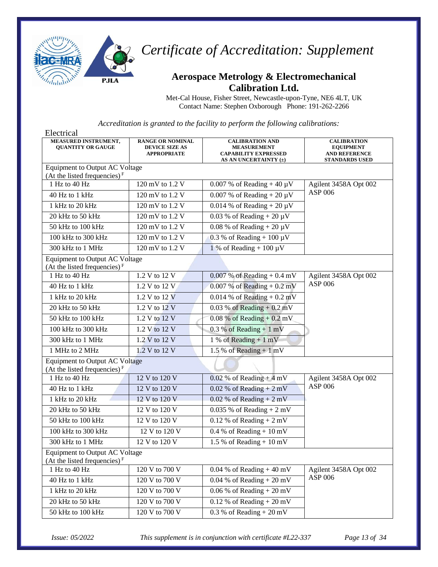

### **Aerospace Metrology & Electromechanical Calibration Ltd.**

Met-Cal House, Fisher Street, Newcastle-upon-Tyne, NE6 4LT, UK Contact Name: Stephen Oxborough Phone: 191-262-2266

*Accreditation is granted to the facility to perform the following calibrations:*

| Electrical                                                               |                                                                        |                                                                                                      |                                                                                         |
|--------------------------------------------------------------------------|------------------------------------------------------------------------|------------------------------------------------------------------------------------------------------|-----------------------------------------------------------------------------------------|
| MEASURED INSTRUMENT,<br><b>QUANTITY OR GAUGE</b>                         | <b>RANGE OR NOMINAL</b><br><b>DEVICE SIZE AS</b><br><b>APPROPRIATE</b> | <b>CALIBRATION AND</b><br><b>MEASUREMENT</b><br><b>CAPABILITY EXPRESSED</b><br>AS AN UNCERTAINTY (±) | <b>CALIBRATION</b><br><b>EQUIPMENT</b><br><b>AND REFERENCE</b><br><b>STANDARDS USED</b> |
| Equipment to Output AC Voltage<br>(At the listed frequencies) $F$        |                                                                        |                                                                                                      |                                                                                         |
| 1 Hz to 40 Hz                                                            | $120 \overline{mV}$ to $1.2 \overline{V}$                              | 0.007 % of Reading + 40 $\mu$ V                                                                      | Agilent 3458A Opt 002                                                                   |
| 40 Hz to 1 kHz                                                           | 120 mV to 1.2 V                                                        | 0.007 % of Reading + 20 $\mu$ V                                                                      | ASP 006                                                                                 |
| 1 kHz to 20 kHz                                                          | 120 mV to 1.2 V                                                        | 0.014 % of Reading + $20 \mu V$                                                                      |                                                                                         |
| 20 kHz to 50 kHz                                                         | 120 mV to 1.2 V                                                        | 0.03 % of Reading $+20 \mu V$                                                                        |                                                                                         |
| 50 kHz to 100 kHz                                                        | 120 mV to 1.2 V                                                        | $0.08\%$ of Reading + 20 $\mu$ V                                                                     |                                                                                         |
| 100 kHz to 300 kHz                                                       | 120 mV to 1.2 V                                                        | 0.3 % of Reading + 100 $\overline{\mu V}$                                                            |                                                                                         |
| 300 kHz to 1 MHz                                                         | 120 mV to 1.2 V                                                        | 1 % of Reading + 100 $\mu$ V                                                                         |                                                                                         |
| <b>Equipment to Output AC Voltage</b><br>(At the listed frequencies) $F$ |                                                                        |                                                                                                      |                                                                                         |
| 1 Hz to 40 Hz                                                            | 1.2 V to 12 V                                                          | $0.007\%$ of Reading + 0.4 mV                                                                        | Agilent 3458A Opt 002                                                                   |
| 40 Hz to 1 kHz                                                           | 1.2 V to 12 V                                                          | $0.007\%$ of Reading + $0.2$ mV                                                                      | ASP 006                                                                                 |
| $1$ kHz to $20$ kHz                                                      | 1.2 V to 12 V                                                          | $0.014\%$ of Reading + $0.2$ mV                                                                      |                                                                                         |
| 20 kHz to 50 kHz                                                         | 1.2 V to 12 V                                                          | $0.03\%$ of Reading + $0.2\,\mathrm{mV}$                                                             |                                                                                         |
| 50 kHz to 100 kHz                                                        | 1.2 V to 12 V                                                          | $0.08\%$ of Reading + $0.2\,\mathrm{mV}$                                                             |                                                                                         |
| 100 kHz to 300 kHz                                                       | 1.2 V to 12 V                                                          | 0.3 % of Reading $+1$ mV                                                                             |                                                                                         |
| 300 kHz to 1 MHz                                                         | 1.2 V to 12 V                                                          | 1 % of Reading $+1$ mV                                                                               |                                                                                         |
| 1 MHz to 2 MHz                                                           | 1.2 V to 12 V                                                          | 1.5% of Reading + 1 mV                                                                               |                                                                                         |
| <b>Equipment to Output AC Voltage</b><br>(At the listed frequencies) $F$ |                                                                        |                                                                                                      |                                                                                         |
| 1 Hz to 40 Hz                                                            | 12 V to 120 V                                                          | $0.02\%$ of Reading + 4 mV                                                                           | Agilent 3458A Opt 002                                                                   |
| 40 Hz to 1 kHz                                                           | 12 V to 120 V                                                          | $0.02\%$ of Reading + 2 mV                                                                           | ASP 006                                                                                 |
| 1 kHz to 20 kHz                                                          | 12 V to 120 V                                                          | $0.02\%$ of Reading + 2 mV                                                                           |                                                                                         |
| 20 kHz to 50 kHz                                                         | 12 V to 120 V                                                          | $0.035$ % of Reading + 2 mV                                                                          |                                                                                         |
| 50 kHz to 100 kHz                                                        | 12 V to 120 V                                                          | $0.12$ % of Reading + 2 mV                                                                           |                                                                                         |
| 100 kHz to 300 kHz                                                       | 12 V to 120 V                                                          | 0.4 % of Reading $+10$ mV                                                                            |                                                                                         |
| 300 kHz to 1 MHz                                                         | 12 V to 120 V                                                          | 1.5 % of Reading $+10$ mV                                                                            |                                                                                         |
| Equipment to Output AC Voltage<br>(At the listed frequencies) $F$        |                                                                        |                                                                                                      |                                                                                         |
| 1 Hz to 40 Hz                                                            | 120 V to 700 V                                                         | $0.04\%$ of Reading + 40 mV                                                                          | Agilent 3458A Opt 002                                                                   |
| 40 Hz to 1 kHz                                                           | 120 V to 700 V                                                         | $0.04\%$ of Reading + 20 mV                                                                          | ASP 006                                                                                 |
| 1 kHz to 20 kHz                                                          | 120 V to 700 V                                                         | $0.06\%$ of Reading + 20 mV                                                                          |                                                                                         |
| 20 kHz to 50 kHz                                                         | 120 V to 700 V                                                         | 0.12 % of Reading + $20 \overline{mV}$                                                               |                                                                                         |
| 50 kHz to 100 kHz                                                        | 120 V to 700 V                                                         | $0.3\%$ of Reading + 20 mV                                                                           |                                                                                         |

*Issue: 05/2022 This supplement is in conjunction with certificate #L22-337 Page 13 of 34*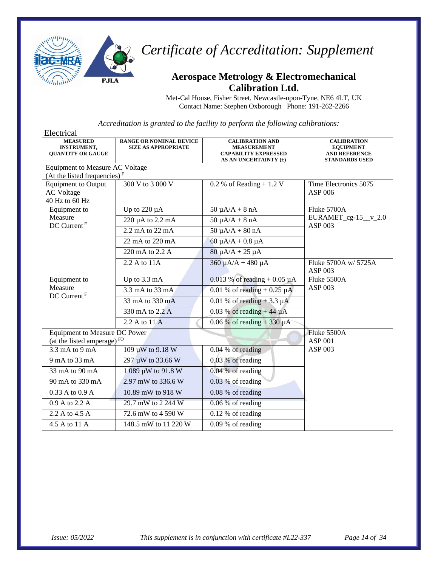

### **Aerospace Metrology & Electromechanical Calibration Ltd.**

Met-Cal House, Fisher Street, Newcastle-upon-Tyne, NE6 4LT, UK Contact Name: Stephen Oxborough Phone: 191-262-2266

| Electrical                                                        |                                                              |                                                                                                      |                                                                                         |
|-------------------------------------------------------------------|--------------------------------------------------------------|------------------------------------------------------------------------------------------------------|-----------------------------------------------------------------------------------------|
| <b>MEASURED</b><br><b>INSTRUMENT,</b><br><b>OUANTITY OR GAUGE</b> | <b>RANGE OR NOMINAL DEVICE</b><br><b>SIZE AS APPROPRIATE</b> | <b>CALIBRATION AND</b><br><b>MEASUREMENT</b><br><b>CAPABILITY EXPRESSED</b><br>AS AN UNCERTAINTY (±) | <b>CALIBRATION</b><br><b>EQUIPMENT</b><br><b>AND REFERENCE</b><br><b>STANDARDS USED</b> |
| Equipment to Measure AC Voltage                                   |                                                              |                                                                                                      |                                                                                         |
| (At the listed frequencies) $F$                                   |                                                              |                                                                                                      |                                                                                         |
| <b>Equipment to Output</b>                                        | 300 V to 3 000 V                                             | $0.2$ % of Reading + 1.2 V                                                                           | Time Electronics 5075                                                                   |
| <b>AC Voltage</b><br>40 Hz to 60 Hz                               |                                                              |                                                                                                      | ASP 006                                                                                 |
| Equipment to                                                      | Up to $220 \mu A$                                            | $50 \mu A/A + 8 nA$                                                                                  | Fluke 5700A                                                                             |
| Measure                                                           | 220 µA to 2.2 mA                                             | $50 \mu A/A + 8 nA$                                                                                  | $EURAMET_cg-15_v_2.0$                                                                   |
| DC Current <sup>F</sup>                                           | $2.2 \text{ mA}$ to $22 \text{ mA}$                          | $50 \mu A/A + 80 nA$                                                                                 | <b>ASP 003</b>                                                                          |
|                                                                   |                                                              |                                                                                                      |                                                                                         |
|                                                                   | 22 mA to 220 mA                                              | $60 \mu A/A + 0.8 \mu A$                                                                             |                                                                                         |
|                                                                   | 220 mA to 2.2 A                                              | $80 \mu A/A + 25 \mu A$                                                                              |                                                                                         |
|                                                                   | 2.2 A to 11A                                                 | $360 \mu A/A + 480 \mu A$                                                                            | Fluke 5700A w/ 5725A<br>ASP 003                                                         |
| Equipment to                                                      | Up to 3.3 mA                                                 | 0.013 % of reading $+ 0.05 \mu A$                                                                    | Fluke 5500A                                                                             |
| Measure<br>DC Current <sup>F</sup>                                | 3.3 mA to 33 mA                                              | 0.01 % of reading $+ 0.25 \mu A$                                                                     | ASP 003                                                                                 |
|                                                                   | 33 mA to 330 mA                                              | 0.01 % of reading $+3.3 \mu A$                                                                       |                                                                                         |
|                                                                   | 330 mA to 2.2 A                                              | 0.03 % of reading $+44 \mu A$                                                                        |                                                                                         |
|                                                                   | 2.2 A to 11 A                                                | 0.06 % of reading $+330 \mu A$                                                                       |                                                                                         |
| Equipment to Measure DC Power                                     |                                                              |                                                                                                      | Fluke 5500A                                                                             |
| (at the listed amperage) <sup>FO</sup>                            |                                                              |                                                                                                      | <b>ASP 001</b>                                                                          |
| 3.3 mA to 9 mA                                                    | 109 μW to 9.18 W                                             | 0.04 % of reading                                                                                    | ASP 003                                                                                 |
| 9 mA to 33 mA                                                     | 297 µW to 33.66 W                                            | $0.03\%$ of reading                                                                                  |                                                                                         |
| 33 mA to 90 mA                                                    | 1 089 μW to 91.8 W                                           | $0.04\%$ of reading                                                                                  |                                                                                         |
| 90 mA to 330 mA                                                   | 2.97 mW to 336.6 W                                           | $0.03\%$ of reading                                                                                  |                                                                                         |
| 0.33 A to 0.9 A                                                   | 10.89 mW to 918 W                                            | $0.08\%$ of reading                                                                                  |                                                                                         |
| 0.9 A to 2.2 A                                                    | 29.7 mW to 2 244 W                                           | $0.06\%$ of reading                                                                                  |                                                                                         |
| 2.2 A to 4.5 A                                                    | 72.6 mW to 4 590 W                                           | 0.12 % of reading                                                                                    |                                                                                         |
| 4.5 A to 11 A                                                     | 148.5 mW to 11 220 W                                         | $0.09%$ of reading                                                                                   |                                                                                         |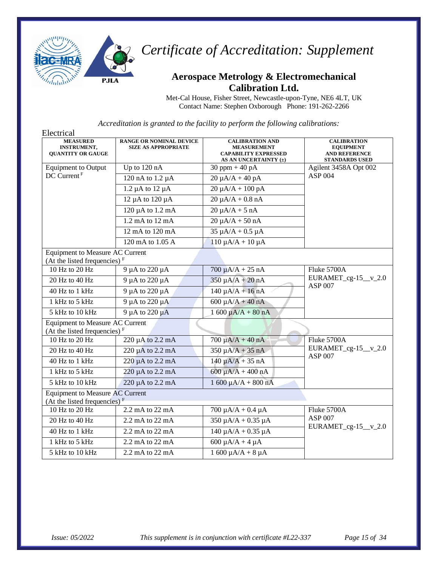

#### **Aerospace Metrology & Electromechanical Calibration Ltd.**

Met-Cal House, Fisher Street, Newcastle-upon-Tyne, NE6 4LT, UK Contact Name: Stephen Oxborough Phone: 191-262-2266

| Electrical                                                                         |                                                              |                                                                                                      |                                                                                         |
|------------------------------------------------------------------------------------|--------------------------------------------------------------|------------------------------------------------------------------------------------------------------|-----------------------------------------------------------------------------------------|
| <b>MEASURED</b><br><b>INSTRUMENT,</b><br><b>QUANTITY OR GAUGE</b>                  | <b>RANGE OR NOMINAL DEVICE</b><br><b>SIZE AS APPROPRIATE</b> | <b>CALIBRATION AND</b><br><b>MEASUREMENT</b><br><b>CAPABILITY EXPRESSED</b><br>AS AN UNCERTAINTY (±) | <b>CALIBRATION</b><br><b>EQUIPMENT</b><br><b>AND REFERENCE</b><br><b>STANDARDS USED</b> |
| <b>Equipment to Output</b>                                                         | Up to 120 nA                                                 | $30$ ppm + 40 pA                                                                                     | Agilent 3458A Opt 002                                                                   |
| DC Current <sup>F</sup>                                                            | $120$ nA to $1.2 \mu$ A                                      | $20 \mu A/A + 40 pA$                                                                                 | <b>ASP 004</b>                                                                          |
|                                                                                    | $1.2 \mu A$ to $12 \mu A$                                    | $20 \mu A/A + 100 pA$                                                                                |                                                                                         |
|                                                                                    | 12 µA to 120 µA                                              | $20 \mu A/A + 0.8 nA$                                                                                |                                                                                         |
|                                                                                    | 120 µA to 1.2 mA                                             | $20 \mu A/A + 5 nA$                                                                                  |                                                                                         |
|                                                                                    | 1.2 mA to 12 mA                                              | $20 \mu A/A + 50 nA$                                                                                 |                                                                                         |
|                                                                                    | 12 mA to 120 mA                                              | $35 \mu A/A + 0.5 \mu A$                                                                             |                                                                                         |
|                                                                                    | 120 mA to 1.05 A                                             | $110 \mu A/A + 10 \mu A$                                                                             |                                                                                         |
| <b>Equipment to Measure AC Current</b><br>(At the listed frequencies) $F$          |                                                              |                                                                                                      |                                                                                         |
| 10 Hz to 20 Hz                                                                     | 9 µA to 220 µA                                               | $700 \mu A/A + 25 nA$                                                                                | Fluke 5700A                                                                             |
| 20 Hz to 40 Hz                                                                     | 9 µA to 220 µA                                               | $350 \mu A/A + 20 nA$                                                                                | $EURAMET_cg-15_v_2.0$                                                                   |
| 40 Hz to 1 kHz                                                                     | 9 µA to 220 µA                                               | $140 \mu A/A + 16 nA$                                                                                | <b>ASP 007</b>                                                                          |
| 1 kHz to 5 kHz                                                                     | 9 µA to 220 µA                                               | $600 \mu A/A + 40 nA$                                                                                |                                                                                         |
| 5 kHz to 10 kHz                                                                    | 9 µA to 220 µA                                               | $1600 \mu A/A + 80 nA$                                                                               |                                                                                         |
| <b>Equipment to Measure AC Current</b><br>(At the listed frequencies) $F$          |                                                              |                                                                                                      |                                                                                         |
| 10 Hz to 20 Hz                                                                     | 220 µA to 2.2 mA                                             | $700 \mu A/A + 40 nA$                                                                                | Fluke 5700A                                                                             |
| 20 Hz to 40 Hz                                                                     | 220 µA to 2.2 mA                                             | $350 \mu A/A + 35 nA$                                                                                | EURAMET_cg-15_v_2.0<br><b>ASP 007</b>                                                   |
| 40 Hz to 1 kHz                                                                     | 220 µA to 2.2 mA                                             | $140 \mu A/A + 35 nA$                                                                                |                                                                                         |
| 1 kHz to 5 kHz                                                                     | 220 µA to 2.2 mA                                             | $600 \mu A/A + 400 nA$                                                                               |                                                                                         |
| 5 kHz to 10 kHz                                                                    | 220 µA to 2.2 mA                                             | $1600 \mu A/A + 800 nA$                                                                              |                                                                                         |
| <b>Equipment to Measure AC Current</b><br>(At the listed frequencies) <sup>F</sup> |                                                              |                                                                                                      |                                                                                         |
| 10 Hz to 20 Hz                                                                     | 2.2 mA to 22 mA                                              | $700 \mu A/A + 0.4 \mu A$                                                                            | Fluke 5700A                                                                             |
| 20 Hz to 40 Hz                                                                     | 2.2 mA to 22 mA                                              | $350 \mu A/A + 0.35 \mu A$                                                                           | <b>ASP 007</b>                                                                          |
| 40 Hz to 1 kHz                                                                     | 2.2 mA to 22 mA                                              | $140 \mu A/A + 0.35 \mu A$                                                                           | EURAMET_cg-15_v_2.0                                                                     |
| 1 kHz to 5 kHz                                                                     | 2.2 mA to 22 mA                                              | $600 \mu A/A + 4 \mu A$                                                                              |                                                                                         |
| 5 kHz to 10 kHz                                                                    | 2.2 mA to 22 mA                                              | $1600 \mu A/A + 8 \mu A$                                                                             |                                                                                         |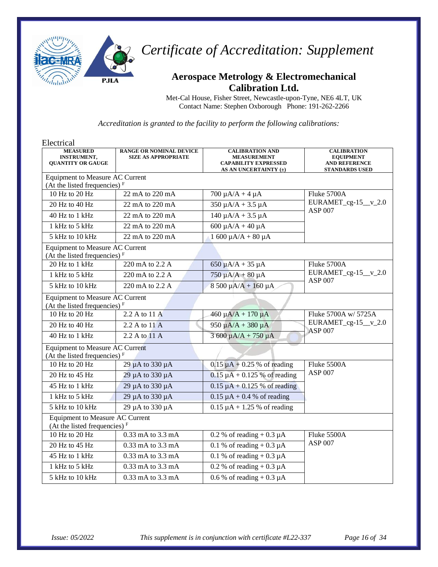

## **Aerospace Metrology & Electromechanical Calibration Ltd.**

Met-Cal House, Fisher Street, Newcastle-upon-Tyne, NE6 4LT, UK Contact Name: Stephen Oxborough Phone: 191-262-2266

| Electrical                                                                |                                                              |                                                                                                      |                                                                                         |
|---------------------------------------------------------------------------|--------------------------------------------------------------|------------------------------------------------------------------------------------------------------|-----------------------------------------------------------------------------------------|
| <b>MEASURED</b><br><b>INSTRUMENT,</b><br><b>QUANTITY OR GAUGE</b>         | <b>RANGE OR NOMINAL DEVICE</b><br><b>SIZE AS APPROPRIATE</b> | <b>CALIBRATION AND</b><br><b>MEASUREMENT</b><br><b>CAPABILITY EXPRESSED</b><br>AS AN UNCERTAINTY (±) | <b>CALIBRATION</b><br><b>EQUIPMENT</b><br><b>AND REFERENCE</b><br><b>STANDARDS USED</b> |
| <b>Equipment to Measure AC Current</b>                                    |                                                              |                                                                                                      |                                                                                         |
| (At the listed frequencies) $F$                                           |                                                              |                                                                                                      |                                                                                         |
| 10 Hz to 20 Hz                                                            | 22 mA to 220 mA                                              | $700 \mu A/A + 4 \mu A$                                                                              | Fluke 5700A<br>$EURAMET_cg-15_v_2.0$<br><b>ASP 007</b>                                  |
| 20 Hz to 40 Hz                                                            | 22 mA to 220 mA                                              | $350 \mu A/A + 3.5 \mu A$                                                                            |                                                                                         |
| 40 Hz to 1 kHz                                                            | 22 mA to $220 \overline{m}$ A                                | $140 \mu A/A + 3.5 \mu A$                                                                            |                                                                                         |
| 1 kHz to 5 kHz                                                            | 22 mA to 220 mA                                              | $600 \mu A/A + 40 \mu A$                                                                             |                                                                                         |
| 5 kHz to 10 kHz                                                           | 22 mA to 220 mA                                              | $1600 \mu A/A + 80 \mu A$                                                                            |                                                                                         |
| <b>Equipment to Measure AC Current</b><br>(At the listed frequencies) $F$ |                                                              |                                                                                                      |                                                                                         |
| 20 Hz to 1 kHz                                                            | 220 mA to 2.2 A                                              | $650 \mu A/A + 35 \mu A$                                                                             | Fluke 5700A                                                                             |
| 1 kHz to 5 kHz                                                            | 220 mA to 2.2 A                                              | $750 \mu A/A + 80 \mu A$                                                                             | $EURAMET_cg-15_v_2.0$                                                                   |
| 5 kHz to 10 kHz                                                           | 220 mA to 2.2 A                                              | $8500 \mu A/A + 160 \mu A$                                                                           | <b>ASP 007</b>                                                                          |
| <b>Equipment to Measure AC Current</b><br>(At the listed frequencies) $F$ |                                                              |                                                                                                      |                                                                                         |
| 10 Hz to 20 Hz                                                            | 2.2 A to 11 A                                                | $460 \mu A/A + 170 \mu A$                                                                            | Fluke 5700A w/ 5725A                                                                    |
| 20 Hz to 40 Hz                                                            | 2.2 A to 11 A                                                | $950 \mu A/A + 380 \mu A$                                                                            | EURAMET_cg- $15$ _v_2.0<br><b>ASP 007</b>                                               |
| 40 Hz to 1 kHz                                                            | 2.2 A to $11$ A                                              | $3600 \mu A/A + 750 \mu A$                                                                           |                                                                                         |
| <b>Equipment to Measure AC Current</b><br>(At the listed frequencies) $F$ |                                                              |                                                                                                      |                                                                                         |
| 10 Hz to 20 Hz                                                            | 29 µA to 330 µA                                              | $0.15 \mu A + 0.25 \%$ of reading                                                                    | Fluke 5500A                                                                             |
| 20 Hz to 45 Hz                                                            | 29 µA to 330 µA                                              | $0.15 \mu A + 0.125$ % of reading                                                                    | <b>ASP 007</b>                                                                          |
| 45 Hz to 1 kHz                                                            | 29 µA to 330 µA                                              | $0.15 \mu A + 0.125$ % of reading                                                                    |                                                                                         |
| 1 kHz to 5 kHz                                                            | 29 µA to 330 µA                                              | $0.15 \mu A + 0.4 \%$ of reading                                                                     |                                                                                         |
| 5 kHz to 10 kHz                                                           | 29 µA to 330 µA                                              | $0.15 \mu A + 1.25 \%$ of reading                                                                    |                                                                                         |
| Equipment to Measure AC Current<br>(At the listed frequencies) $F$        |                                                              |                                                                                                      |                                                                                         |
| 10 Hz to 20 Hz                                                            | 0.33 mA to 3.3 mA                                            | 0.2 % of reading $+$ 0.3 $\mu$ A                                                                     | Fluke 5500A                                                                             |
| 20 Hz to 45 Hz                                                            | 0.33 mA to 3.3 mA                                            | 0.1 % of reading $+$ 0.3 $\mu$ A                                                                     | <b>ASP 007</b>                                                                          |
| 45 Hz to 1 kHz                                                            | 0.33 mA to 3.3 mA                                            | 0.1 % of reading $+$ 0.3 $\mu$ A                                                                     |                                                                                         |
| 1 kHz to 5 kHz                                                            | 0.33 mA to 3.3 mA                                            | 0.2 % of reading $+$ 0.3 $\mu$ A                                                                     |                                                                                         |
| 5 kHz to 10 kHz                                                           | 0.33 mA to 3.3 mA                                            | $0.6\%$ of reading + 0.3 $\mu$ A                                                                     |                                                                                         |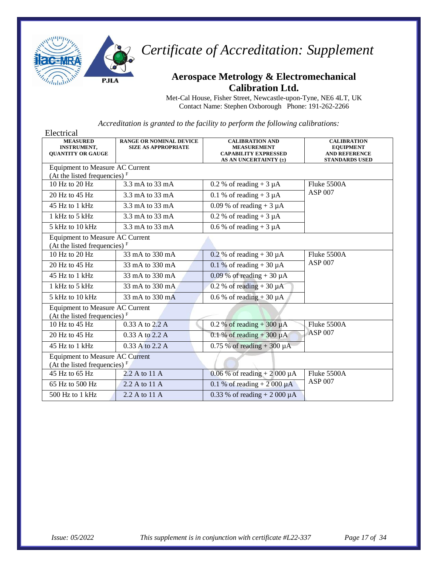

### **Aerospace Metrology & Electromechanical Calibration Ltd.**

Met-Cal House, Fisher Street, Newcastle-upon-Tyne, NE6 4LT, UK Contact Name: Stephen Oxborough Phone: 191-262-2266

| Electrical                                                                |                                                              |                                                                                                      |                                                                                         |
|---------------------------------------------------------------------------|--------------------------------------------------------------|------------------------------------------------------------------------------------------------------|-----------------------------------------------------------------------------------------|
| <b>MEASURED</b><br>INSTRUMENT,<br><b>QUANTITY OR GAUGE</b>                | <b>RANGE OR NOMINAL DEVICE</b><br><b>SIZE AS APPROPRIATE</b> | <b>CALIBRATION AND</b><br><b>MEASUREMENT</b><br><b>CAPABILITY EXPRESSED</b><br>AS AN UNCERTAINTY (±) | <b>CALIBRATION</b><br><b>EQUIPMENT</b><br><b>AND REFERENCE</b><br><b>STANDARDS USED</b> |
| <b>Equipment to Measure AC Current</b>                                    |                                                              |                                                                                                      |                                                                                         |
| (At the listed frequencies) $F$                                           |                                                              |                                                                                                      |                                                                                         |
| 10 Hz to 20 Hz                                                            | 3.3 mA to 33 mA                                              | 0.2 % of reading + $3 \mu A$                                                                         | Fluke 5500A                                                                             |
| $20$ Hz to $45$ Hz                                                        | 3.3 mA to 33 mA                                              | 0.1 % of reading $+3 \mu A$                                                                          | <b>ASP 007</b>                                                                          |
| 45 Hz to 1 kHz                                                            | 3.3 mA to 33 mA                                              | 0.09 % of reading $+3 \mu A$                                                                         |                                                                                         |
| 1 kHz to 5 kHz                                                            | 3.3 mA to 33 mA                                              | 0.2 % of reading $+3 \mu A$                                                                          |                                                                                         |
| $5$ kHz to $10$ kHz                                                       | 3.3 mA to 33 mA                                              | 0.6 % of reading $+3 \mu A$                                                                          |                                                                                         |
| Equipment to Measure AC Current<br>(At the listed frequencies) $F$        |                                                              |                                                                                                      |                                                                                         |
| 10 Hz to 20 Hz                                                            | 33 mA to 330 mA                                              | 0.2 % of reading $+30 \mu A$                                                                         | Fluke 5500A                                                                             |
| 20 Hz to 45 Hz                                                            | 33 mA to 330 mA                                              | 0.1 % of reading $+30 \mu A$                                                                         | <b>ASP 007</b>                                                                          |
| 45 Hz to 1 kHz                                                            | 33 mA to 330 mA                                              | $0.09\%$ of reading + 30 $\mu$ A                                                                     |                                                                                         |
| 1 kHz to 5 kHz                                                            | 33 mA to 330 mA                                              | 0.2 % of reading $+30 \mu A$                                                                         |                                                                                         |
| 5 kHz to 10 kHz                                                           | 33 mA to 330 mA                                              | 0.6 % of reading $+30 \mu A$                                                                         |                                                                                         |
| <b>Equipment to Measure AC Current</b><br>(At the listed frequencies) $F$ |                                                              |                                                                                                      |                                                                                         |
| $10$ Hz to $45$ Hz                                                        | 0.33 A to 2.2 A                                              | 0.2 % of reading $+300 \mu A$                                                                        | Fluke 5500A                                                                             |
| 20 Hz to 45 Hz                                                            | 0.33 A to 2.2 A                                              | 0.1 % of reading $+300 \mu A$                                                                        | <b>ASP 007</b>                                                                          |
| 45 Hz to 1 kHz                                                            | $0.33$ A to 2.2 A                                            | $0.75\%$ of reading + 300 $\mu$ A                                                                    |                                                                                         |
| <b>Equipment to Measure AC Current</b><br>(At the listed frequencies) $F$ |                                                              |                                                                                                      |                                                                                         |
| 45 Hz to 65 Hz                                                            | 2.2 A to 11 A                                                | 0.06 % of reading + 2 000 $\mu$ A                                                                    | Fluke 5500A                                                                             |
| 65 Hz to 500 Hz                                                           | 2.2 A to 11 A                                                | 0.1 % of reading + $2000 \mu A$                                                                      | <b>ASP 007</b>                                                                          |
| $500$ Hz to 1 kHz                                                         | 2.2 A to 11 A                                                | 0.33 % of reading + 2 000 $\mu$ A                                                                    |                                                                                         |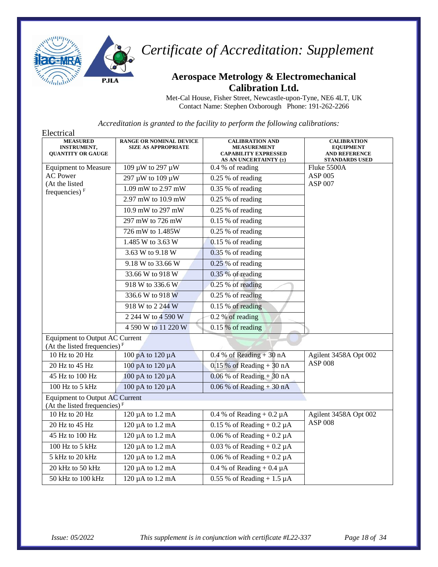

#### **Aerospace Metrology & Electromechanical Calibration Ltd.**

Met-Cal House, Fisher Street, Newcastle-upon-Tyne, NE6 4LT, UK Contact Name: Stephen Oxborough Phone: 191-262-2266

| Electrical                                                               |                                                              |                                                                                                      |                                                                                         |
|--------------------------------------------------------------------------|--------------------------------------------------------------|------------------------------------------------------------------------------------------------------|-----------------------------------------------------------------------------------------|
| <b>MEASURED</b><br><b>INSTRUMENT,</b><br><b>QUANTITY OR GAUGE</b>        | <b>RANGE OR NOMINAL DEVICE</b><br><b>SIZE AS APPROPRIATE</b> | <b>CALIBRATION AND</b><br><b>MEASUREMENT</b><br><b>CAPABILITY EXPRESSED</b><br>AS AN UNCERTAINTY (±) | <b>CALIBRATION</b><br><b>EQUIPMENT</b><br><b>AND REFERENCE</b><br><b>STANDARDS USED</b> |
| <b>Equipment to Measure</b>                                              | 109 μW to 297 μW                                             | 0.4 % of reading                                                                                     | Fluke 5500A<br>ASP 005<br><b>ASP 007</b>                                                |
| <b>AC</b> Power                                                          | 297 µW to 109 µW                                             | 0.25 % of reading                                                                                    |                                                                                         |
| (At the listed<br>frequencies) $F$                                       | 1.09 mW to 2.97 mW                                           | 0.35 % of reading                                                                                    |                                                                                         |
|                                                                          | 2.97 mW to 10.9 mW                                           | 0.25 % of reading                                                                                    |                                                                                         |
|                                                                          | 10.9 mW to 297 mW                                            | 0.25 % of reading                                                                                    |                                                                                         |
|                                                                          | 297 mW to 726 mW                                             | $0.15%$ of reading                                                                                   |                                                                                         |
|                                                                          | 726 mW to 1.485W                                             | $0.25%$ of reading                                                                                   |                                                                                         |
|                                                                          | 1.485 W to 3.63 W                                            | 0.15 % of reading                                                                                    |                                                                                         |
|                                                                          | 3.63 W to 9.18 W                                             | $0.35%$ of reading                                                                                   |                                                                                         |
|                                                                          | 9.18 W to 33.66 W                                            | $0.25%$ of reading                                                                                   |                                                                                         |
|                                                                          | 33.66 W to 918 W                                             | $0.35%$ of reading                                                                                   |                                                                                         |
|                                                                          | 918 W to 336.6 W                                             | 0.25 % of reading                                                                                    |                                                                                         |
|                                                                          | 336.6 W to 918 W                                             | $0.25%$ of reading                                                                                   |                                                                                         |
|                                                                          | 918 W to 2 244 W                                             | 0.15 % of reading                                                                                    |                                                                                         |
|                                                                          | 2 244 W to 4 590 W                                           | 0.2 % of reading                                                                                     |                                                                                         |
|                                                                          | 4 590 W to 11 220 W                                          | $0.15%$ of reading                                                                                   |                                                                                         |
| <b>Equipment to Output AC Current</b><br>(At the listed frequencies) $F$ |                                                              |                                                                                                      |                                                                                         |
| 10 Hz to 20 Hz                                                           | 100 pA to 120 µA                                             | $0.4\%$ of Reading + 30 nA                                                                           | Agilent 3458A Opt 002                                                                   |
| 20 Hz to 45 Hz                                                           | 100 pA to 120 µA                                             | $0.15\%$ of Reading + 30 nA                                                                          | <b>ASP 008</b>                                                                          |
| 45 Hz to 100 Hz                                                          | 100 pA to 120 µA                                             | $0.06\%$ of Reading + 30 nA                                                                          |                                                                                         |
| 100 Hz to 5 kHz                                                          | 100 pA to 120 µA                                             | $0.06\%$ of Reading + 30 nA                                                                          |                                                                                         |
| <b>Equipment to Output AC Current</b><br>(At the listed frequencies) $F$ |                                                              |                                                                                                      |                                                                                         |
| 10 Hz to 20 Hz                                                           | 120 µA to 1.2 mA                                             | 0.4 % of Reading + $0.2 \mu A$                                                                       | Agilent 3458A Opt 002                                                                   |
| 20 Hz to 45 Hz                                                           | 120 µA to 1.2 mA                                             | $0.15\%$ of Reading + 0.2 µA                                                                         | <b>ASP 008</b>                                                                          |
| 45 Hz to 100 Hz                                                          | 120 µA to 1.2 mA                                             | $0.06\%$ of Reading + $0.2\mu$ A                                                                     |                                                                                         |
| 100 Hz to 5 kHz                                                          | 120 µA to 1.2 mA                                             | $0.03$ % of Reading + $0.2 \mu A$                                                                    |                                                                                         |
| 5 kHz to 20 kHz                                                          | 120 µA to 1.2 mA                                             | 0.06 % of Reading $+$ 0.2 $\mu$ A                                                                    |                                                                                         |
| 20 kHz to 50 kHz                                                         | 120 µA to 1.2 mA                                             | 0.4 % of Reading + $0.4 \mu A$                                                                       |                                                                                         |
| 50 kHz to 100 kHz                                                        | 120 µA to 1.2 mA                                             | $0.55\%$ of Reading + 1.5 µA                                                                         |                                                                                         |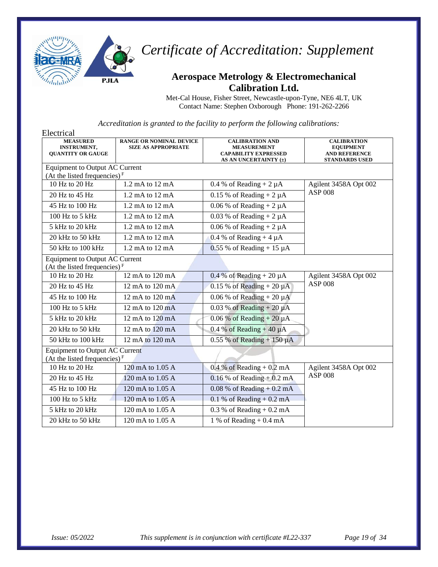

### **Aerospace Metrology & Electromechanical Calibration Ltd.**

Met-Cal House, Fisher Street, Newcastle-upon-Tyne, NE6 4LT, UK Contact Name: Stephen Oxborough Phone: 191-262-2266

| Electrical                                                               |                                                              |                                                                                                      |                                                                                         |
|--------------------------------------------------------------------------|--------------------------------------------------------------|------------------------------------------------------------------------------------------------------|-----------------------------------------------------------------------------------------|
| <b>MEASURED</b><br><b>INSTRUMENT,</b><br><b>OUANTITY OR GAUGE</b>        | <b>RANGE OR NOMINAL DEVICE</b><br><b>SIZE AS APPROPRIATE</b> | <b>CALIBRATION AND</b><br><b>MEASUREMENT</b><br><b>CAPABILITY EXPRESSED</b><br>AS AN UNCERTAINTY (±) | <b>CALIBRATION</b><br><b>EQUIPMENT</b><br><b>AND REFERENCE</b><br><b>STANDARDS USED</b> |
| <b>Equipment to Output AC Current</b>                                    |                                                              |                                                                                                      |                                                                                         |
| (At the listed frequencies) $F$                                          |                                                              |                                                                                                      |                                                                                         |
| 10 Hz to 20 Hz                                                           | 1.2 mA to 12 mA                                              | 0.4 % of Reading + $2 \mu A$                                                                         | Agilent 3458A Opt 002                                                                   |
| 20 Hz to 45 Hz                                                           | 1.2 mA to 12 mA                                              | $0.15$ % of Reading + 2 $\mu$ A                                                                      | <b>ASP 008</b>                                                                          |
| 45 Hz to 100 Hz                                                          | 1.2 mA to 12 mA                                              | 0.06 % of Reading $+2 \mu A$                                                                         |                                                                                         |
| 100 Hz to 5 kHz                                                          | 1.2 mA to 12 mA                                              | 0.03 % of Reading + $2 \mu A$                                                                        |                                                                                         |
| 5 kHz to 20 kHz                                                          | $1.2 \text{ mA}$ to $12 \text{ mA}$                          | 0.06 % of Reading $+ 2 \mu A$                                                                        |                                                                                         |
| 20 kHz to 50 kHz                                                         | $1.2 \text{ mA}$ to $12 \text{ mA}$                          | 0.4 % of Reading + 4 $\mu$ A                                                                         |                                                                                         |
| 50 kHz to 100 kHz                                                        | 1.2 mA to 12 mA                                              | $0.55$ % of Reading + 15 $\mu$ A                                                                     |                                                                                         |
| <b>Equipment to Output AC Current</b><br>(At the listed frequencies) $F$ |                                                              |                                                                                                      |                                                                                         |
| 10 Hz to 20 Hz                                                           | 12 mA to $120 \text{ mA}$                                    | $0.4\%$ of Reading + 20 $\mu$ A                                                                      | Agilent 3458A Opt 002                                                                   |
| 20 Hz to 45 Hz                                                           | 12 mA to 120 mA                                              | 0.15 % of Reading + 20 $\mu$ A                                                                       | <b>ASP 008</b>                                                                          |
| 45 Hz to 100 Hz                                                          | 12 mA to 120 mA                                              | 0.06 % of Reading + 20 $\mu$ A                                                                       |                                                                                         |
| 100 Hz to 5 kHz                                                          | 12 mA to 120 mA                                              | $0.03$ % of Reading + 20 $\mu$ A                                                                     |                                                                                         |
| 5 kHz to 20 kHz                                                          | 12 mA to 120 mA                                              | $0.06\%$ of Reading + 20 $\mu$ A                                                                     |                                                                                         |
| 20 kHz to 50 kHz                                                         | 12 mA to 120 mA                                              | 0.4 % of Reading + 40 $\mu$ A                                                                        |                                                                                         |
| 50 kHz to 100 kHz                                                        | 12 mA to 120 mA                                              | $0.55$ % of Reading + 150 $\mu$ A                                                                    |                                                                                         |
| <b>Equipment to Output AC Current</b>                                    |                                                              |                                                                                                      |                                                                                         |
| (At the listed frequencies) $F$                                          |                                                              |                                                                                                      |                                                                                         |
| 10 Hz to 20 Hz                                                           | 120 mA to 1.05 A                                             | $0.4\%$ of Reading + $0.2\text{ mA}$                                                                 | Agilent 3458A Opt 002                                                                   |
| 20 Hz to 45 Hz                                                           | 120 mA to 1.05 A                                             | $0.16\%$ of Reading + 0.2 mA                                                                         | <b>ASP 008</b>                                                                          |
| 45 Hz to 100 Hz                                                          | 120 mA to 1.05 A                                             | $0.08\%$ of Reading + 0.2 mA                                                                         |                                                                                         |
| 100 Hz to 5 kHz                                                          | 120 mA to 1.05 A                                             | $0.1\%$ of Reading + 0.2 mA                                                                          |                                                                                         |
| 5 kHz to 20 kHz                                                          | 120 mA to 1.05 A                                             | $0.3\%$ of Reading + $0.2\text{ mA}$                                                                 |                                                                                         |
| 20 kHz to 50 kHz                                                         | 120 mA to 1.05 A                                             | 1 % of Reading $+0.4$ mA                                                                             |                                                                                         |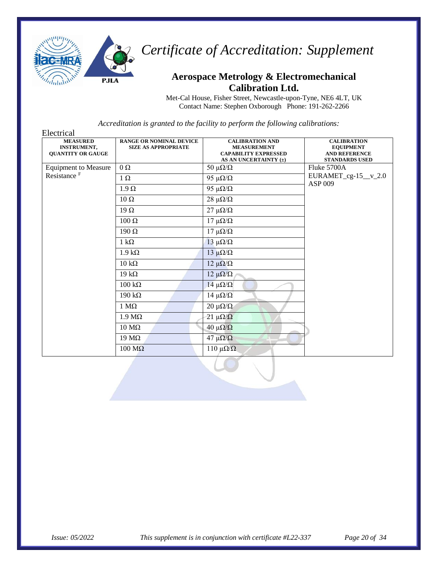

#### **Aerospace Metrology & Electromechanical Calibration Ltd.**

Met-Cal House, Fisher Street, Newcastle-upon-Tyne, NE6 4LT, UK Contact Name: Stephen Oxborough Phone: 191-262-2266

| Electrical                                                        |                                                              |                                                                                                      |                                                                                         |
|-------------------------------------------------------------------|--------------------------------------------------------------|------------------------------------------------------------------------------------------------------|-----------------------------------------------------------------------------------------|
| <b>MEASURED</b><br><b>INSTRUMENT,</b><br><b>QUANTITY OR GAUGE</b> | <b>RANGE OR NOMINAL DEVICE</b><br><b>SIZE AS APPROPRIATE</b> | <b>CALIBRATION AND</b><br><b>MEASUREMENT</b><br><b>CAPABILITY EXPRESSED</b><br>AS AN UNCERTAINTY (±) | <b>CALIBRATION</b><br><b>EQUIPMENT</b><br><b>AND REFERENCE</b><br><b>STANDARDS USED</b> |
| <b>Equipment to Measure</b>                                       | $\Omega$                                                     | 50 $\mu\Omega/\Omega$                                                                                | Fluke 5700A                                                                             |
| Resistance <sup>F</sup>                                           | $1 \Omega$                                                   | 95 $\mu\Omega/\Omega$                                                                                | $EURAMET_cg-15_v_2.0$<br>ASP 009                                                        |
|                                                                   | $1.9 \Omega$                                                 | 95 $\mu\Omega/\Omega$                                                                                |                                                                                         |
|                                                                   | $10 \Omega$                                                  | $28 \mu\Omega/\Omega$                                                                                |                                                                                         |
|                                                                   | $19 \Omega$                                                  | $27 \mu\Omega/\Omega$                                                                                |                                                                                         |
|                                                                   | $100 \Omega$                                                 | $17 \muΩ/Ω$                                                                                          |                                                                                         |
|                                                                   | $190 \Omega$                                                 | $17 \muΩ/Ω$                                                                                          |                                                                                         |
|                                                                   | $1 k\Omega$                                                  | $13 \mu\Omega/\Omega$                                                                                |                                                                                         |
|                                                                   | $1.9 k\Omega$                                                | $13 \mu\Omega/\Omega$                                                                                |                                                                                         |
|                                                                   | $10 \text{ k}\Omega$                                         | $12 \mu\Omega/\Omega$                                                                                |                                                                                         |
|                                                                   | $19 k\Omega$                                                 | $12 \mu\Omega/\Omega$                                                                                |                                                                                         |
|                                                                   | $100 \text{ k}\Omega$                                        | 14 $\mu\Omega/\Omega$                                                                                |                                                                                         |
|                                                                   | $190 \text{ k}\Omega$                                        | $14 \mu\Omega/\Omega$                                                                                |                                                                                         |
|                                                                   | $1 \text{ M}\Omega$                                          | $20 \mu\Omega/\Omega$                                                                                |                                                                                         |
|                                                                   | $1.9 M\Omega$                                                | $21 \mu\Omega/\Omega$                                                                                |                                                                                         |
|                                                                   | $10 \text{ M}\Omega$                                         | $40 \mu\Omega/\Omega$                                                                                |                                                                                         |
|                                                                   | $19 \text{ M}\Omega$                                         | 47 μ $\Omega/\Omega$                                                                                 |                                                                                         |
|                                                                   | $100 \text{ M}\Omega$                                        | $110 \muΩ/Ω$                                                                                         |                                                                                         |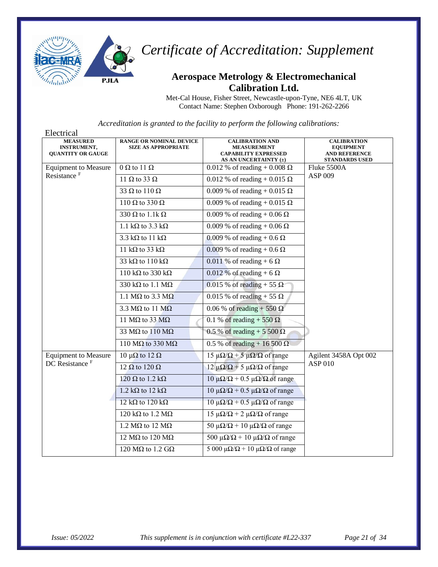

#### **Aerospace Metrology & Electromechanical Calibration Ltd.**

Met-Cal House, Fisher Street, Newcastle-upon-Tyne, NE6 4LT, UK Contact Name: Stephen Oxborough Phone: 191-262-2266

| Electrical                                                        |                                                              |                                                                                                      |                                                                                         |
|-------------------------------------------------------------------|--------------------------------------------------------------|------------------------------------------------------------------------------------------------------|-----------------------------------------------------------------------------------------|
| <b>MEASURED</b><br><b>INSTRUMENT,</b><br><b>QUANTITY OR GAUGE</b> | <b>RANGE OR NOMINAL DEVICE</b><br><b>SIZE AS APPROPRIATE</b> | <b>CALIBRATION AND</b><br><b>MEASUREMENT</b><br><b>CAPABILITY EXPRESSED</b><br>AS AN UNCERTAINTY (±) | <b>CALIBRATION</b><br><b>EQUIPMENT</b><br><b>AND REFERENCE</b><br><b>STANDARDS USED</b> |
| <b>Equipment to Measure</b>                                       | $0 \Omega$ to 11 $\Omega$                                    | 0.012 % of reading + 0.008 $\Omega$                                                                  | Fluke 5500A                                                                             |
| Resistance <sup>F</sup>                                           | 11 $\Omega$ to 33 $\Omega$                                   | 0.012 % of reading + 0.015 $\Omega$                                                                  | ASP 009                                                                                 |
|                                                                   | 33 $\Omega$ to 110 $\Omega$                                  | 0.009 % of reading + 0.015 Ω                                                                         |                                                                                         |
|                                                                   | 110 $\Omega$ to 330 $\Omega$                                 | 0.009 % of reading + 0.015 $\Omega$                                                                  |                                                                                         |
|                                                                   | $330 \Omega$ to 1.1k $\Omega$                                | 0.009 % of reading + 0.06 $\Omega$                                                                   |                                                                                         |
|                                                                   | 1.1 k $\Omega$ to 3.3 k $\Omega$                             | 0.009 % of reading $+$ 0.06 $\Omega$                                                                 |                                                                                         |
|                                                                   | 3.3 k $\Omega$ to 11 k $\Omega$                              | 0.009 % of reading + 0.6 $\Omega$                                                                    |                                                                                         |
|                                                                   | 11 k $\Omega$ to 33 k $\Omega$                               | 0.009 % of reading + 0.6 $\Omega$                                                                    |                                                                                         |
|                                                                   | 33 k $\Omega$ to 110 k $\Omega$                              | 0.011 % of reading + 6 $\Omega$                                                                      |                                                                                         |
|                                                                   | 110 k $\Omega$ to 330 k $\Omega$                             | 0.012 % of reading + 6 $\Omega$                                                                      |                                                                                         |
|                                                                   | 330 k $\Omega$ to 1.1 M $\Omega$                             | 0.015 % of reading + 55 $\Omega$                                                                     |                                                                                         |
|                                                                   | 1.1 M $\Omega$ to 3.3 M $\Omega$                             | 0.015 % of reading + 55 $\Omega$                                                                     |                                                                                         |
|                                                                   | 3.3 $M\Omega$ to 11 $M\Omega$                                | 0.06 % of reading + 550 $\Omega$                                                                     |                                                                                         |
|                                                                   | 11 M $\Omega$ to 33 M $\Omega$                               | 0.1 % of reading + 550 $\Omega$                                                                      |                                                                                         |
|                                                                   | 33 M $\Omega$ to 110 M $\Omega$                              | 0.5 % of reading + 5 500 $\Omega$                                                                    |                                                                                         |
|                                                                   | 110 M $\Omega$ to 330 M $\Omega$                             | 0.5 % of reading + 16 500 $\Omega$                                                                   |                                                                                         |
| <b>Equipment to Measure</b>                                       | 10 μ $\Omega$ to 12 $\Omega$                                 | 15 μ $\Omega/\Omega$ + 5 μ $\Omega/\Omega$ of range                                                  | Agilent 3458A Opt 002                                                                   |
| DC Resistance <sup>F</sup>                                        | 12 $\Omega$ to 120 $\Omega$                                  | 12 μ $\Omega/\Omega$ + 5 μ $\Omega/\Omega$ of range                                                  | <b>ASP 010</b>                                                                          |
|                                                                   | $120 \Omega$ to 1.2 k $\Omega$                               | $10 \mu\Omega/\Omega$ + 0.5 μΩ/Ω of range                                                            |                                                                                         |
|                                                                   | $1.2 \text{ k}\Omega$ to $12 \text{ k}\Omega$                | $10 \mu\Omega/\Omega$ + 0.5 μΩ/Ω of range                                                            |                                                                                         |
|                                                                   | 12 k $\Omega$ to 120 k $\Omega$                              | $10 \mu\Omega/\Omega$ + 0.5 μΩ/Ω of range                                                            |                                                                                         |
|                                                                   | 120 k $\Omega$ to 1.2 M $\Omega$                             | 15 μ $\Omega/\Omega$ + 2 μ $\Omega/\Omega$ of range                                                  |                                                                                         |
|                                                                   | 1.2 $M\Omega$ to 12 $M\Omega$                                | 50 μ $\Omega/\Omega$ + 10 μ $\Omega/\Omega$ of range                                                 |                                                                                         |
|                                                                   | 12 MΩ to 120 MΩ                                              | 500 $\mu\Omega/\Omega$ + 10 $\mu\Omega/\Omega$ of range                                              |                                                                                         |
|                                                                   | 120 M $\Omega$ to 1.2 G $\Omega$                             | 5 000 μ $\Omega/\Omega$ + 10 μ $\Omega/\Omega$ of range                                              |                                                                                         |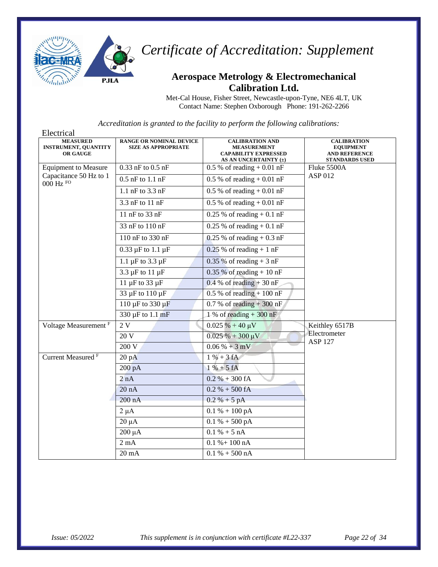

#### **Aerospace Metrology & Electromechanical Calibration Ltd.**

Met-Cal House, Fisher Street, Newcastle-upon-Tyne, NE6 4LT, UK Contact Name: Stephen Oxborough Phone: 191-262-2266

| Electrical                                                        |                                                              |                                                                                                      |                                                                                         |
|-------------------------------------------------------------------|--------------------------------------------------------------|------------------------------------------------------------------------------------------------------|-----------------------------------------------------------------------------------------|
| <b>MEASURED</b><br><b>INSTRUMENT, QUANTITY</b><br><b>OR GAUGE</b> | <b>RANGE OR NOMINAL DEVICE</b><br><b>SIZE AS APPROPRIATE</b> | <b>CALIBRATION AND</b><br><b>MEASUREMENT</b><br><b>CAPABILITY EXPRESSED</b><br>AS AN UNCERTAINTY (±) | <b>CALIBRATION</b><br><b>EQUIPMENT</b><br><b>AND REFERENCE</b><br><b>STANDARDS USED</b> |
| <b>Equipment to Measure</b>                                       | $0.33$ nF to $0.5$ nF                                        | $0.5\%$ of reading $+0.01$ nF                                                                        | Fluke 5500A                                                                             |
| Capacitance 50 Hz to 1<br>$000$ Hz $FO$                           | $0.5$ nF to $1.1$ nF                                         | $0.5\%$ of reading + 0.01 nF                                                                         | ASP 012                                                                                 |
|                                                                   | 1.1 nF to 3.3 nF                                             | $0.5\%$ of reading $+0.01$ nF                                                                        |                                                                                         |
|                                                                   | 3.3 nF to 11 nF                                              | $0.5 %$ of reading + 0.01 nF                                                                         |                                                                                         |
|                                                                   | 11 nF to 33 nF                                               | $0.25\%$ of reading $+0.1$ nF                                                                        |                                                                                         |
|                                                                   | 33 nF to 110 nF                                              | $0.25 \%$ of reading + 0.1 nF                                                                        |                                                                                         |
|                                                                   | 110 nF to 330 nF                                             | $0.25$ % of reading $+0.3$ nF                                                                        |                                                                                         |
|                                                                   | $0.33 \,\mu F$ to $1.1 \,\mu F$                              | $0.25$ % of reading + 1 nF                                                                           |                                                                                         |
|                                                                   | 1.1 $\mu$ F to 3.3 $\mu$ F                                   | $0.35\%$ of reading + 3 nF                                                                           |                                                                                         |
|                                                                   | $3.\overline{3}$ µF to 11 µF                                 | $0.35\%$ of reading + 10 nF                                                                          |                                                                                         |
|                                                                   | 11 $\mu$ F to 33 $\mu$ F                                     | $0.4 %$ of reading + 30 nF                                                                           |                                                                                         |
|                                                                   | 33 µF to 110 µF                                              | $0.5\%$ of reading + 100 nF                                                                          |                                                                                         |
|                                                                   | $110 \mu F$ to 330 $\mu F$                                   | $0.7 %$ of reading + 300 nF                                                                          |                                                                                         |
|                                                                   | 330 µF to 1.1 mF                                             | $1\%$ of reading + 300 nF                                                                            |                                                                                         |
| Voltage Measurement <sup>F</sup>                                  | 2V                                                           | $\overline{0.025}$ % + 40 µV                                                                         | Keithley 6517B                                                                          |
|                                                                   | 20 V                                                         | $0.025% + 300 \,\mu\text{V}$                                                                         | Electrometer<br><b>ASP 127</b>                                                          |
|                                                                   | 200V                                                         | $0.06\% + 3mV$                                                                                       |                                                                                         |
| Current Measured <sup>F</sup>                                     | 20pA                                                         | $1 \% + 3 fA$                                                                                        |                                                                                         |
|                                                                   | $200\ \mathrm{pA}$                                           | $1 \% + 5 fA$                                                                                        |                                                                                         |
|                                                                   | 2 nA                                                         | $0.2 % + 300 fA$                                                                                     |                                                                                         |
|                                                                   | 20 nA                                                        | $0.2 % + 500 fA$                                                                                     |                                                                                         |
|                                                                   | 200 nA                                                       | $0.2 % + 5 pA$                                                                                       |                                                                                         |
|                                                                   | $2 \mu A$                                                    | $0.1 % + 100 pA$                                                                                     |                                                                                         |
|                                                                   | $20 \mu A$                                                   | $0.1 % + 500 pA$                                                                                     |                                                                                         |
|                                                                   | $200 \mu A$                                                  | $0.1 % + 5 nA$                                                                                       |                                                                                         |
|                                                                   | $2 \text{ mA}$                                               | $0.1 % + 100 nA$                                                                                     |                                                                                         |
|                                                                   | $20 \text{ mA}$                                              | $0.1 % + 500 nA$                                                                                     |                                                                                         |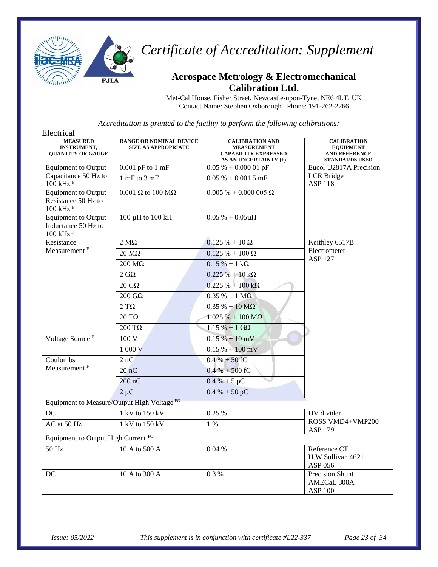

#### **Aerospace Metrology & Electromechanical Calibration Ltd.**

Met-Cal House, Fisher Street, Newcastle-upon-Tyne, NE6 4LT, UK Contact Name: Stephen Oxborough Phone: 191-262-2266

| Electrical                                                                |                                                              |                                                                                                      |                                                                                         |
|---------------------------------------------------------------------------|--------------------------------------------------------------|------------------------------------------------------------------------------------------------------|-----------------------------------------------------------------------------------------|
| <b>MEASURED</b><br><b>INSTRUMENT,</b><br><b>QUANTITY OR GAUGE</b>         | <b>RANGE OR NOMINAL DEVICE</b><br><b>SIZE AS APPROPRIATE</b> | <b>CALIBRATION AND</b><br><b>MEASUREMENT</b><br><b>CAPABILITY EXPRESSED</b><br>AS AN UNCERTAINTY (±) | <b>CALIBRATION</b><br><b>EQUIPMENT</b><br><b>AND REFERENCE</b><br><b>STANDARDS USED</b> |
| <b>Equipment to Output</b>                                                | $0.001$ pF to $1$ mF                                         | $0.05\% + 0.000\ 01\ pF$                                                                             | Eucol U2817A Precision                                                                  |
| Capacitance 50 Hz to<br>$100$ kHz $F$                                     | $1$ mF to $3$ mF                                             | $0.05\% + 0.0015$ mF                                                                                 | <b>LCR</b> Bridge<br><b>ASP 118</b>                                                     |
| <b>Equipment to Output</b><br>Resistance 50 Hz to<br>$100$ kHz $F$        | $0.001$ $\Omega$ to $100$ $\text{M}\Omega$                   | $0.005\% + 0.000\ 005\ \Omega$                                                                       |                                                                                         |
| <b>Equipment to Output</b><br>Inductance 50 Hz to<br>$100$ kHz $^{\rm F}$ | 100 µH to 100 kH                                             | $0.05 % + 0.05 \mu H$                                                                                |                                                                                         |
| Resistance                                                                | $2 M\Omega$                                                  | $0.125 \% + 10 \Omega$                                                                               | Keithley 6517B                                                                          |
| Measurement <sup>F</sup>                                                  | $20 \text{ M}\Omega$                                         | $0.125 \% + 100 \Omega$                                                                              | Electrometer                                                                            |
|                                                                           | $200 \text{ M}\Omega$                                        | $0.15% + 1k\Omega$                                                                                   | <b>ASP 127</b>                                                                          |
|                                                                           | $2\;{\rm G}\Omega$                                           | $0.225 \% + 10 k\Omega$                                                                              |                                                                                         |
|                                                                           | $20 \text{ } G\Omega$                                        | $0.225% + 100 k\Omega$                                                                               |                                                                                         |
|                                                                           | $200 \text{ } \text{G}\Omega$                                | $0.35 % + 1 MΩ$                                                                                      |                                                                                         |
|                                                                           | $2 T\Omega$                                                  | $0.35 % + 10 MΩ$                                                                                     |                                                                                         |
|                                                                           | $20 \text{ T}\Omega$                                         | $1.025% + 100 M\Omega$                                                                               |                                                                                         |
|                                                                           | $200$ ΤΩ                                                     | $1.15% + 1$ GQ                                                                                       |                                                                                         |
| Voltage Source <sup>F</sup>                                               | 100 V                                                        | $0.15\% + 10\,\text{mV}$                                                                             |                                                                                         |
|                                                                           | 1 000 V                                                      | $0.15\% + 100$ mV                                                                                    |                                                                                         |
| Coulombs                                                                  | 2 nC                                                         | $0.4\% + 50$ fC                                                                                      |                                                                                         |
| Measurement <sup>F</sup>                                                  | 20 <sub>n</sub> C                                            | $0.4 % + 500 fC$                                                                                     |                                                                                         |
|                                                                           | $200$ nC                                                     | $0.4\% + 5pC$                                                                                        |                                                                                         |
|                                                                           | $2 \mu C$                                                    | $0.4 % + 50 pC$                                                                                      |                                                                                         |
| Equipment to Measure/Output High Voltage <sup>FO</sup>                    |                                                              |                                                                                                      |                                                                                         |
| DC                                                                        | 1 kV to 150 kV                                               | 0.25 %                                                                                               | HV divider                                                                              |
| AC at 50 Hz                                                               | 1 kV to 150 kV                                               | $1\%$                                                                                                | ROSS VMD4+VMP200<br><b>ASP 179</b>                                                      |
| Equipment to Output High Current FO                                       |                                                              |                                                                                                      |                                                                                         |
| 50 Hz                                                                     | 10 A to 500 A                                                | 0.04%                                                                                                | Reference CT<br>H.W.Sullivan 46211<br>ASP 056                                           |
| DC                                                                        | 10 A to 300 A                                                | 0.3%                                                                                                 | Precision Shunt<br><b>AMECaL 300A</b><br><b>ASP 100</b>                                 |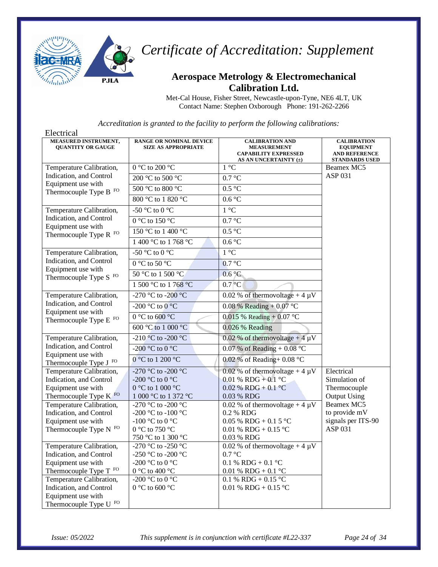

#### **Aerospace Metrology & Electromechanical Calibration Ltd.**

Met-Cal House, Fisher Street, Newcastle-upon-Tyne, NE6 4LT, UK Contact Name: Stephen Oxborough Phone: 191-262-2266

| Electrical                                              |                                                              |                                                                                                      |                                                                                         |
|---------------------------------------------------------|--------------------------------------------------------------|------------------------------------------------------------------------------------------------------|-----------------------------------------------------------------------------------------|
| MEASURED INSTRUMENT,<br><b>QUANTITY OR GAUGE</b>        | <b>RANGE OR NOMINAL DEVICE</b><br><b>SIZE AS APPROPRIATE</b> | <b>CALIBRATION AND</b><br><b>MEASUREMENT</b><br><b>CAPABILITY EXPRESSED</b><br>AS AN UNCERTAINTY (±) | <b>CALIBRATION</b><br><b>EQUIPMENT</b><br><b>AND REFERENCE</b><br><b>STANDARDS USED</b> |
| Temperature Calibration,                                | 0 °C to 200 °C                                               | $1 °C$                                                                                               | Beamex MC5                                                                              |
| Indication, and Control                                 | 200 °C to 500 °C                                             | 0.7 °C                                                                                               | ASP 031                                                                                 |
| Equipment use with<br>Thermocouple Type B FO            | $500\,^{\circ}\textrm{C}$ to $800\,^{\circ}\textrm{C}$       | $0.5\,^{\circ}\mathrm{C}$                                                                            |                                                                                         |
|                                                         | 800 °C to 1 820 °C                                           | 0.6 °C                                                                                               |                                                                                         |
| Temperature Calibration,                                | -50 °C to 0 °C                                               | $1^{\circ}C$                                                                                         |                                                                                         |
| Indication, and Control<br>Equipment use with           | $0\ ^{\circ}\textrm{C}$ to 150 $^{\circ}\textrm{C}$          | 0.7 °C                                                                                               |                                                                                         |
| Thermocouple Type R FO                                  | 150 °C to 1 400 °C                                           | 0.5 °C                                                                                               |                                                                                         |
|                                                         | 1 400 °C to 1 768 °C                                         | 0.6 °C                                                                                               |                                                                                         |
| Temperature Calibration,                                | -50 °C to 0 °C                                               | 1 °C                                                                                                 |                                                                                         |
| Indication, and Control<br>Equipment use with           | 0 °C to 50 °C                                                | 0.7 °C                                                                                               |                                                                                         |
| Thermocouple Type S FO                                  | 50 °C to 1 500 °C                                            | 0.6 °C                                                                                               |                                                                                         |
|                                                         | 1 500 °C to 1 768 °C                                         | $0.7\degree$ C                                                                                       |                                                                                         |
| Temperature Calibration,                                | -270 °C to -200 °C                                           | 0.02 % of thermovoltage + 4 $\mu$ V                                                                  |                                                                                         |
| Indication, and Control                                 | -200 °C to 0 °C                                              | 0.08 % Reading + 0.07 °C                                                                             |                                                                                         |
| Equipment use with<br>Thermocouple Type E <sup>FO</sup> | $0 °C$ to 600 $°C$                                           | $0.015$ % Reading + $0.07$ °C                                                                        |                                                                                         |
|                                                         | 600 °C to 1 000 °C                                           | 0.026 % Reading                                                                                      |                                                                                         |
| Temperature Calibration,                                | -210 °C to -200 °C                                           | 0.02 % of thermovoltage + 4 $\mu$ V                                                                  |                                                                                         |
| Indication, and Control<br>Equipment use with           | -200 °C to 0 °C                                              | 0.07 % of Reading + 0.08 $^{\circ}$ C                                                                |                                                                                         |
| Thermocouple Type J <sup>FO</sup>                       | 0 °C to 1 200 °C                                             | 0.02 % of Reading+ $0.08$ °C                                                                         |                                                                                         |
| Temperature Calibration,                                | -270 °C to -200 °C                                           | 0.02 % of thermovoltage + 4 $\mu$ V                                                                  | Electrical                                                                              |
| Indication, and Control                                 | -200 °C to 0 °C                                              | $0.01 \% RDG + 0.1 °C$                                                                               | Simulation of                                                                           |
| Equipment use with                                      | 0 °C to 1 000 °C                                             | $0.02 \%$ RDG + 0.1 °C                                                                               | Thermocouple                                                                            |
| Thermocouple Type K FO                                  | 1 000 °C to 1 372 °C                                         | 0.03 % RDG                                                                                           | <b>Output Using</b>                                                                     |
| Temperature Calibration,                                | -270 °C to -200 °C                                           | 0.02 % of thermovoltage + 4 $\overline{\mu V}$                                                       | Beamex MC5<br>to provide mV                                                             |
| Indication, and Control<br>Equipment use with           | -200 °C to -100 °C<br>-100 °C to 0 °C                        | 0.2 % RDG<br>$0.05\%$ RDG + 0.1 5 °C                                                                 | signals per ITS-90                                                                      |
| Thermocouple Type N FO                                  | 0 °C to 750 °C                                               | 0.01 % RDG + 0.15 °C                                                                                 | ASP 031                                                                                 |
|                                                         | 750 °C to 1 300 °C                                           | 0.03 % RDG                                                                                           |                                                                                         |
| Temperature Calibration,                                | -270 °C to -250 °C                                           | 0.02 % of thermovoltage + 4 $\mu$ V                                                                  |                                                                                         |
| Indication, and Control                                 | -250 °C to -200 °C                                           | 0.7 °C                                                                                               |                                                                                         |
| Equipment use with                                      | -200 °C to 0 °C                                              | 0.1 % RDG + 0.1 °C                                                                                   |                                                                                         |
| Thermocouple Type T FO                                  | 0 °C to 400 °C                                               | 0.01 % RDG + 0.1 °C                                                                                  |                                                                                         |
| Temperature Calibration,                                | -200 °C to 0 °C                                              | 0.1 % RDG + 0.15 °C                                                                                  |                                                                                         |
| Indication, and Control                                 | 0 °C to 600 °C                                               | 0.01 % RDG + 0.15 °C                                                                                 |                                                                                         |
| Equipment use with                                      |                                                              |                                                                                                      |                                                                                         |
| Thermocouple Type U $\,^{\rm FO}$                       |                                                              |                                                                                                      |                                                                                         |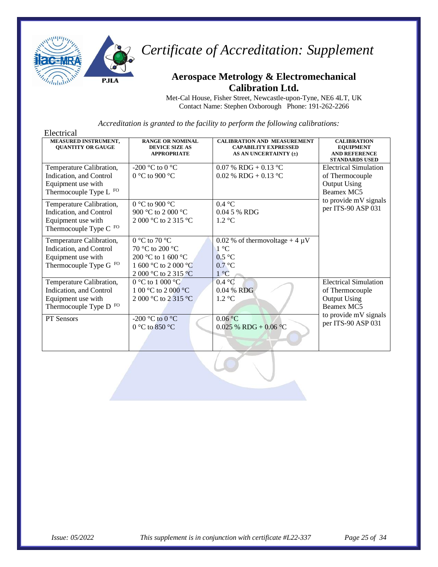

#### **Aerospace Metrology & Electromechanical Calibration Ltd.**

Met-Cal House, Fisher Street, Newcastle-upon-Tyne, NE6 4LT, UK Contact Name: Stephen Oxborough Phone: 191-262-2266

| Electrical                                                                                                     |                                                                                                        |                                                                                            |                                                                                         |
|----------------------------------------------------------------------------------------------------------------|--------------------------------------------------------------------------------------------------------|--------------------------------------------------------------------------------------------|-----------------------------------------------------------------------------------------|
| <b>MEASURED INSTRUMENT,</b><br><b>OUANTITY OR GAUGE</b>                                                        | <b>RANGE OR NOMINAL</b><br><b>DEVICE SIZE AS</b><br><b>APPROPRIATE</b>                                 | <b>CALIBRATION AND MEASUREMENT</b><br><b>CAPABILITY EXPRESSED</b><br>AS AN UNCERTAINTY (±) | <b>CALIBRATION</b><br><b>EQUIPMENT</b><br><b>AND REFERENCE</b><br><b>STANDARDS USED</b> |
| Temperature Calibration,<br>Indication, and Control<br>Equipment use with<br>Thermocouple Type L FO            | -200 °C to 0 °C<br>0 °C to 900 °C                                                                      | 0.07 % RDG + 0.13 °C<br>$0.02$ % RDG + 0.13 °C                                             | <b>Electrical Simulation</b><br>of Thermocouple<br><b>Output Using</b><br>Beamex MC5    |
| Temperature Calibration,<br>Indication, and Control<br>Equipment use with<br>Thermocouple Type C $^{\rm{FO}}$  | 0 °C to 900 °C<br>900 °C to 2 000 °C<br>2 000 °C to 2 315 °C                                           | 0.4 °C<br>0.04 5 % RDG<br>$1.2 \text{ }^{\circ}C$                                          | to provide mV signals<br>per ITS-90 ASP 031                                             |
| Temperature Calibration,<br>Indication, and Control<br>Equipment use with<br>Thermocouple Type G FO            | 0 °C to 70 °C<br>70 °C to 200 °C<br>200 °C to 1 600 °C<br>1 600 °C to 2 000 °C<br>2 000 °C to 2 315 °C | 0.02 % of thermovoltage + 4 $\mu$ V<br>$1^{\circ}C$<br>0.5 °C<br>0.7 °C<br>$1^{\circ}C$    |                                                                                         |
| Temperature Calibration,<br>Indication, and Control<br>Equipment use with<br>Thermocouple Type D <sup>FO</sup> | $0 °C$ to $1 000 °C$<br>1 00 °C to 2 000 °C<br>2 000 °C to 2 315 °C                                    | 0.4 °C<br>0.04 % RDG<br>$1.2 \text{ °C}$                                                   | <b>Electrical Simulation</b><br>of Thermocouple<br><b>Output Using</b><br>Beamex MC5    |
| PT Sensors                                                                                                     | -200 °C to 0 °C<br>0 °C to 850 °C                                                                      | 0.06 °C<br>$0.025\%$ RDG + 0.06 °C                                                         | to provide mV signals<br>per ITS-90 ASP 031                                             |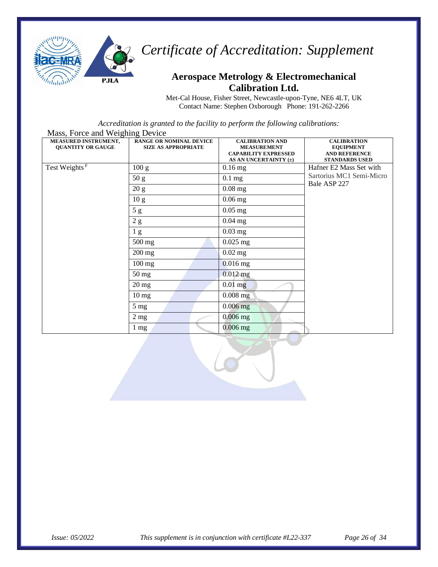

#### **Aerospace Metrology & Electromechanical Calibration Ltd.**

Met-Cal House, Fisher Street, Newcastle-upon-Tyne, NE6 4LT, UK Contact Name: Stephen Oxborough Phone: 191-262-2266

| Mass, Force and Weighing Device                         |                                                              |                                                                                                      |                                                                                         |  |
|---------------------------------------------------------|--------------------------------------------------------------|------------------------------------------------------------------------------------------------------|-----------------------------------------------------------------------------------------|--|
| <b>MEASURED INSTRUMENT,</b><br><b>QUANTITY OR GAUGE</b> | <b>RANGE OR NOMINAL DEVICE</b><br><b>SIZE AS APPROPRIATE</b> | <b>CALIBRATION AND</b><br><b>MEASUREMENT</b><br><b>CAPABILITY EXPRESSED</b><br>AS AN UNCERTAINTY (±) | <b>CALIBRATION</b><br><b>EQUIPMENT</b><br><b>AND REFERENCE</b><br><b>STANDARDS USED</b> |  |
| Test Weights <sup>F</sup>                               | 100 g                                                        | $0.16$ mg                                                                                            | Hafner E2 Mass Set with                                                                 |  |
|                                                         | 50 g                                                         | $0.1$ mg                                                                                             | Sartorius MC1 Semi-Micro<br>Bale ASP 227                                                |  |
|                                                         | 20 g                                                         | $0.08$ mg                                                                                            |                                                                                         |  |
|                                                         | 10 <sub>g</sub>                                              | $0.06$ mg                                                                                            |                                                                                         |  |
|                                                         | 5g                                                           | $0.05$ mg                                                                                            |                                                                                         |  |
|                                                         | 2 g                                                          | $0.04$ mg                                                                                            |                                                                                         |  |
|                                                         | 1 <sub>g</sub>                                               | $0.03$ mg                                                                                            |                                                                                         |  |
|                                                         | 500 mg                                                       | $0.025$ mg                                                                                           |                                                                                         |  |
|                                                         | $200$ mg                                                     | $0.02$ mg                                                                                            |                                                                                         |  |
|                                                         | $100$ mg                                                     | $0.016$ mg                                                                                           |                                                                                         |  |
|                                                         | $50 \,\mathrm{mg}$                                           | $0.012$ mg                                                                                           |                                                                                         |  |
|                                                         | $20 \,\mathrm{mg}$                                           | $0.01$ mg                                                                                            |                                                                                         |  |
|                                                         | $10 \,\mathrm{mg}$                                           | $0.008$ mg                                                                                           |                                                                                         |  |
|                                                         | $5 \text{ mg}$                                               | $0.006$ mg                                                                                           |                                                                                         |  |
|                                                         | $2 \text{ mg}$                                               | $0.006$ mg                                                                                           |                                                                                         |  |
|                                                         | $1 \text{ mg}$                                               | $0.006$ mg                                                                                           |                                                                                         |  |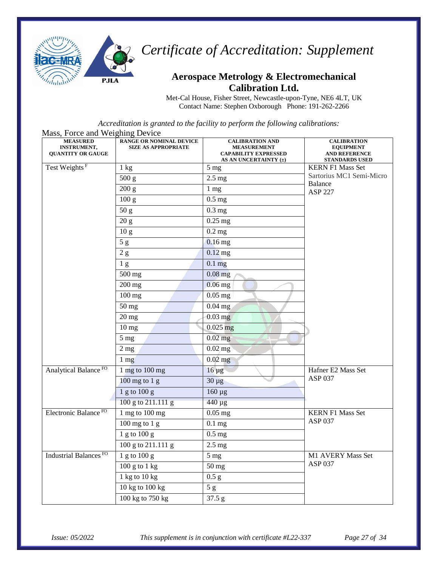

#### **Aerospace Metrology & Electromechanical Calibration Ltd.**

Met-Cal House, Fisher Street, Newcastle-upon-Tyne, NE6 4LT, UK Contact Name: Stephen Oxborough Phone: 191-262-2266

| Mass, Force and Weighing Device                                   |                                                              |                                                                                                      |                                                                                         |
|-------------------------------------------------------------------|--------------------------------------------------------------|------------------------------------------------------------------------------------------------------|-----------------------------------------------------------------------------------------|
| <b>MEASURED</b><br><b>INSTRUMENT,</b><br><b>QUANTITY OR GAUGE</b> | <b>RANGE OR NOMINAL DEVICE</b><br><b>SIZE AS APPROPRIATE</b> | <b>CALIBRATION AND</b><br><b>MEASUREMENT</b><br><b>CAPABILITY EXPRESSED</b><br>AS AN UNCERTAINTY (±) | <b>CALIBRATION</b><br><b>EQUIPMENT</b><br><b>AND REFERENCE</b><br><b>STANDARDS USED</b> |
| Test Weights <sup>F</sup>                                         | $1 \text{ kg}$                                               | $5$ mg                                                                                               | <b>KERN F1 Mass Set</b>                                                                 |
|                                                                   | 500 g                                                        | $2.5$ mg                                                                                             | Sartorius MC1 Semi-Micro                                                                |
|                                                                   | 200 g                                                        | $1 \text{ mg}$                                                                                       | Balance<br><b>ASP 227</b>                                                               |
|                                                                   | 100 <sub>g</sub>                                             | $0.5$ mg                                                                                             |                                                                                         |
|                                                                   | 50 g                                                         | $0.3$ mg                                                                                             |                                                                                         |
|                                                                   | 20 g                                                         | $0.25$ mg                                                                                            |                                                                                         |
|                                                                   | 10 <sub>g</sub>                                              | $0.2$ mg                                                                                             |                                                                                         |
|                                                                   | 5g                                                           | $0.16$ mg                                                                                            |                                                                                         |
|                                                                   | 2g                                                           | $0.12$ mg                                                                                            |                                                                                         |
|                                                                   | 1 <sub>g</sub>                                               | $0.1$ mg                                                                                             |                                                                                         |
|                                                                   | 500 mg                                                       | $0.08$ mg                                                                                            |                                                                                         |
|                                                                   | $200$ mg                                                     | $0.06$ mg                                                                                            |                                                                                         |
|                                                                   | $100$ mg                                                     | $\overline{0.05}$ mg                                                                                 |                                                                                         |
|                                                                   | 50 mg                                                        | $0.04$ mg                                                                                            |                                                                                         |
|                                                                   | $20$ mg                                                      | $0.03$ mg                                                                                            |                                                                                         |
|                                                                   | 10 <sub>mg</sub>                                             | $0.025$ mg                                                                                           |                                                                                         |
|                                                                   | 5 <sub>mg</sub>                                              | $0.02$ mg                                                                                            |                                                                                         |
|                                                                   | 2 <sub>mg</sub>                                              | $0.02$ mg                                                                                            |                                                                                         |
|                                                                   | $1 \text{ mg}$                                               | $0.02$ mg                                                                                            |                                                                                         |
| Analytical Balance <sup>FO</sup>                                  | 1 mg to $100$ mg                                             | $16 \mu g$                                                                                           | Hafner E2 Mass Set                                                                      |
|                                                                   | $100$ mg to $1$ g                                            | $30 \mu g$                                                                                           | ASP 037                                                                                 |
|                                                                   | 1 g to 100 g                                                 | 160 μg                                                                                               |                                                                                         |
|                                                                   | 100 g to 211.111 g                                           | 440 µg                                                                                               |                                                                                         |
| Electronic Balance <sup>FO</sup>                                  | 1 mg to 100 mg                                               | $0.05$ mg                                                                                            | <b>KERN F1 Mass Set</b>                                                                 |
|                                                                   | $100$ mg to $1$ g                                            | $0.1$ mg                                                                                             | <b>ASP 037</b>                                                                          |
|                                                                   | $1$ g to $100$ g                                             | $0.5$ mg                                                                                             |                                                                                         |
|                                                                   | 100 g to 211.111 g                                           | $2.5$ mg                                                                                             |                                                                                         |
| Industrial Balances <sup>FO</sup>                                 | 1 g to 100 g                                                 | $5 \text{ mg}$                                                                                       | M1 AVERY Mass Set                                                                       |
|                                                                   | $100 g$ to $1 kg$                                            | 50 mg                                                                                                | ASP 037                                                                                 |
|                                                                   | 1 kg to $10$ kg                                              | 0.5 g                                                                                                |                                                                                         |
|                                                                   | 10 kg to 100 kg                                              | 5g                                                                                                   |                                                                                         |
|                                                                   | 100 kg to 750 kg                                             | 37.5 g                                                                                               |                                                                                         |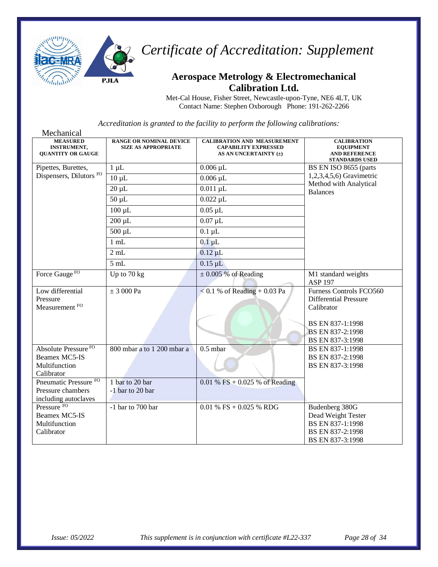

#### **Aerospace Metrology & Electromechanical Calibration Ltd.**

Met-Cal House, Fisher Street, Newcastle-upon-Tyne, NE6 4LT, UK Contact Name: Stephen Oxborough Phone: 191-262-2266

Mechanical **MEASURED INSTRUMENT, QUANTITY OR GAUGE RANGE OR NOMINAL DEVICE SIZE AS APPROPRIATE CALIBRATION AND MEASUREMENT CAPABILITY EXPRESSED AS AN UNCERTAINTY (±) CALIBRATION EQUIPMENT AND REFERENCE STANDARDS USED** Pipettes, Burettes, Dispensers, Dilutors FO 1 μL 1. 0.006 μL BS EN ISO 8655 (parts 1,2,3,4,5,6) Gravimetric Method with Analytical Balances  $10 \mu L$  0.006  $\mu L$  $20 \mu L$   $0.011 \mu L$  $50 \mu L$  0.022  $\mu L$  $100 \mu L$   $0.05 \mu L$  $200 \mu L$   $0.07 \mu L$  $500 \text{ }\mu\text{L}$  0.1  $\mu\text{L}$ 1 mL 0.1 µL  $2 \text{ mL}$   $0.12 \text{ }\mu\text{L}$  $5 \text{ mL}$  0.15  $\mu$ L Force Gauge  $F^O$   $|$  Up to 70 kg  $| \pm 0.005\%$  of Reading M1 standard weights ASP 197 Low differential Pressure Measurement FO  $\pm$  3 000 Pa  $\leq$  0.1 % of Reading + 0.03 Pa Furness Controls FCO560 Differential Pressure Calibrator BS EN 837-1:1998 BS EN 837-2:1998 BS EN 837-3:1998 Absolute Pressure FO Beamex MC5-IS Multifunction Calibrator 800 mbar a to 1 200 mbar a 0.5 mbar BS EN 837-1:1998 BS EN 837-2:1998 BS EN 837-3:1998 Pneumatic Pressure FO Pressure chambers including autoclaves 1 bar to 20 bar -1 bar to 20 bar 0.01 % FS + 0.025 % of Reading Pressure FO Beamex MC5-IS Multifunction Calibrator  $-1$  bar to 700 bar  $\Big| 0.01 \% FS + 0.025 \% RDG \Big|$  Budenberg 380G Dead Weight Tester BS EN 837-1:1998 BS EN 837-2:1998 BS EN 837-3:1998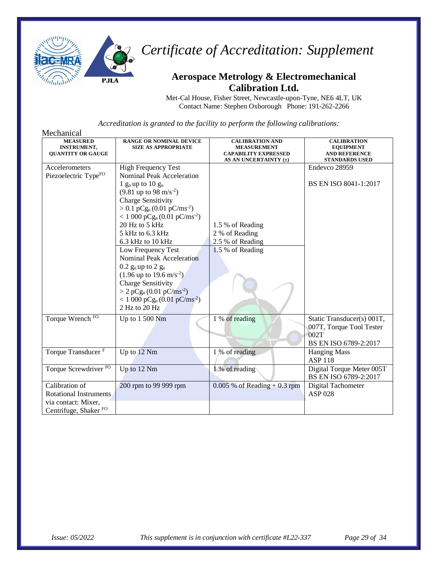

#### **Aerospace Metrology & Electromechanical Calibration Ltd.**

Met-Cal House, Fisher Street, Newcastle-upon-Tyne, NE6 4LT, UK Contact Name: Stephen Oxborough Phone: 191-262-2266

| Mechanical                                                                                                 |                                                                                                                                                                                                                                                                                                     |                                                                                                      |                                                                                         |
|------------------------------------------------------------------------------------------------------------|-----------------------------------------------------------------------------------------------------------------------------------------------------------------------------------------------------------------------------------------------------------------------------------------------------|------------------------------------------------------------------------------------------------------|-----------------------------------------------------------------------------------------|
| <b>MEASURED</b><br><b>INSTRUMENT,</b><br><b>QUANTITY OR GAUGE</b>                                          | <b>RANGE OR NOMINAL DEVICE</b><br><b>SIZE AS APPROPRIATE</b>                                                                                                                                                                                                                                        | <b>CALIBRATION AND</b><br><b>MEASUREMENT</b><br><b>CAPABILITY EXPRESSED</b><br>AS AN UNCERTAINTY (±) | <b>CALIBRATION</b><br><b>EQUIPMENT</b><br><b>AND REFERENCE</b><br><b>STANDARDS USED</b> |
| Accelerometers<br>Piezoelectric TypeFO                                                                     | <b>High Frequency Test</b><br><b>Nominal Peak Acceleration</b>                                                                                                                                                                                                                                      |                                                                                                      | Endevco 28959                                                                           |
|                                                                                                            | 1 $g_n$ up to 10 $g_n$<br>$(9.81 \text{ up to } 98 \text{ m/s}^{-2})$<br><b>Charge Sensitivity</b><br>$> 0.1$ pCg <sub>n</sub> (0.01 pC/ms <sup>-2</sup> )<br>$< 1000 \text{ pCg}_n (0.01 \text{ pC/ms}^2)$                                                                                         |                                                                                                      | BS EN ISO 8041-1:2017                                                                   |
|                                                                                                            | 20 Hz to 5 kHz                                                                                                                                                                                                                                                                                      | 1.5 % of Reading                                                                                     |                                                                                         |
|                                                                                                            | 5 kHz to 6.3 kHz                                                                                                                                                                                                                                                                                    | 2 % of Reading                                                                                       |                                                                                         |
| Torque Wrench FO                                                                                           | 6.3 kHz to 10 kHz<br>Low Frequency Test<br><b>Nominal Peak Acceleration</b><br>$0.2$ $g_n$ up to $2$ $g_n$<br>$(1.96 \text{ up to } 19.6 \text{ m/s}^{-2})$<br>Charge Sensitivity<br>$> 2 pCg_n (0.01 pC/ms^2)$<br>$< 1000 \text{ pCg}_n (0.01 \text{ pC/ms}^2)$<br>2 Hz to 20 Hz<br>Up to 1 500 Nm | 2.5 % of Reading<br>1.5 % of Reading<br>1 % of reading                                               | Static Transducer(s) 001T,                                                              |
|                                                                                                            |                                                                                                                                                                                                                                                                                                     |                                                                                                      | 007T, Torque Tool Tester<br>002T<br>BS EN ISO 6789-2:2017                               |
| Torque Transducer <sup>F</sup>                                                                             | Up to 12 Nm                                                                                                                                                                                                                                                                                         | 1 % of reading                                                                                       | <b>Hanging Mass</b><br><b>ASP 118</b>                                                   |
| Torque Screwdriver <sup>FO</sup>                                                                           | Up to 12 Nm                                                                                                                                                                                                                                                                                         | 1 % of reading                                                                                       | Digital Torque Meter 005T<br>BS EN ISO 6789-2:2017                                      |
| Calibration of<br><b>Rotational Instruments</b><br>via contact: Mixer,<br>Centrifuge, Shaker <sup>FO</sup> | 200 rpm to 99 999 rpm                                                                                                                                                                                                                                                                               | $0.005 \%$ of Reading + 0.3 rpm                                                                      | Digital Tachometer<br><b>ASP 028</b>                                                    |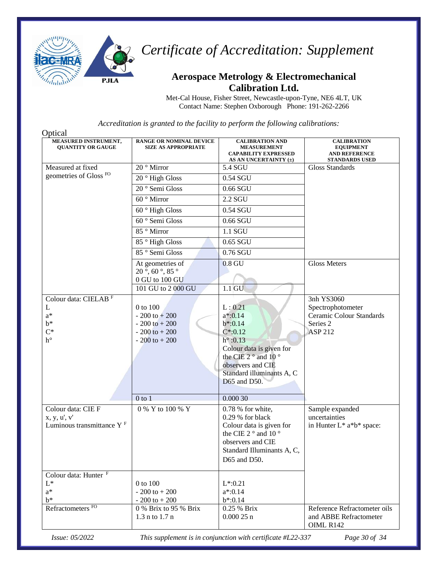

#### **Aerospace Metrology & Electromechanical Calibration Ltd.**

Met-Cal House, Fisher Street, Newcastle-upon-Tyne, NE6 4LT, UK Contact Name: Stephen Oxborough Phone: 191-262-2266

*Accreditation is granted to the facility to perform the following calibrations:*

| Optical                                          |                                                              |                                                                                                      |                                                                                         |
|--------------------------------------------------|--------------------------------------------------------------|------------------------------------------------------------------------------------------------------|-----------------------------------------------------------------------------------------|
| MEASURED INSTRUMENT,<br><b>OUANTITY OR GAUGE</b> | <b>RANGE OR NOMINAL DEVICE</b><br><b>SIZE AS APPROPRIATE</b> | <b>CALIBRATION AND</b><br><b>MEASUREMENT</b><br><b>CAPABILITY EXPRESSED</b><br>AS AN UNCERTAINTY (±) | <b>CALIBRATION</b><br><b>EQUIPMENT</b><br><b>AND REFERENCE</b><br><b>STANDARDS USED</b> |
| Measured at fixed                                | 20 <sup>°</sup> Mirror                                       | 5.4 SGU                                                                                              | <b>Gloss Standards</b>                                                                  |
| geometries of Gloss <sup>FO</sup>                | 20° High Gloss                                               | 0.54 SGU                                                                                             |                                                                                         |
|                                                  | 20 <sup>°</sup> Semi Gloss                                   | 0.66 SGU                                                                                             |                                                                                         |
|                                                  | 60 ° Mirror                                                  | 2.2 SGU                                                                                              |                                                                                         |
|                                                  | $60$ ° High Gloss                                            | 0.54 SGU                                                                                             |                                                                                         |
|                                                  | 60 ° Semi Gloss                                              | 0.66 SGU                                                                                             |                                                                                         |
|                                                  | 85° Mirror                                                   | 1.1 SGU                                                                                              |                                                                                         |
|                                                  | 85° High Gloss                                               | 0.65 SGU                                                                                             |                                                                                         |
|                                                  | 85 <sup>°</sup> Semi Gloss                                   | 0.76 SGU                                                                                             |                                                                                         |
|                                                  | At geometries of                                             | $0.8 \text{ GU}$                                                                                     | <b>Gloss Meters</b>                                                                     |
|                                                  | $20^{\circ}$ , 60 $^{\circ}$ , 85 $^{\circ}$                 |                                                                                                      |                                                                                         |
|                                                  | 0 GU to 100 GU<br>101 GU to 2 000 GU                         | $1.1$ GU                                                                                             |                                                                                         |
| Colour data: CIELAB <sup>F</sup>                 |                                                              |                                                                                                      | 3nh YS3060                                                                              |
| L                                                | 0 to 100                                                     | L: 0.21                                                                                              | Spectrophotometer                                                                       |
| $a^*$                                            | $-200$ to $+200$                                             | $a*:0.14$                                                                                            | Ceramic Colour Standards                                                                |
| $b^*$                                            | $-200$ to $+200$                                             | $b*.0.14$                                                                                            | Series 2                                                                                |
| $C^*$                                            | $-200$ to $+200$                                             | $C^*$ :0.12                                                                                          | <b>ASP 212</b>                                                                          |
| $\ensuremath{\mathop{\text{h}}\nolimits}^\circ$  | $-200$ to $+200$                                             | $h^{\circ}$ :0.13                                                                                    |                                                                                         |
|                                                  |                                                              | Colour data is given for                                                                             |                                                                                         |
|                                                  |                                                              | the CIE 2 $\degree$ and 10 $\degree$                                                                 |                                                                                         |
|                                                  |                                                              | observers and CIE                                                                                    |                                                                                         |
|                                                  |                                                              | Standard illuminants A, C                                                                            |                                                                                         |
|                                                  |                                                              | D65 and D50.                                                                                         |                                                                                         |
|                                                  | $0$ to $1$                                                   | 0.00030                                                                                              |                                                                                         |
| Colour data: CIE F                               | 0 % Y to 100 % Y                                             | 0.78 % for white,                                                                                    |                                                                                         |
| x, y, u', v'                                     |                                                              | $0.29%$ for black                                                                                    | Sample expanded<br>uncertainties                                                        |
| Luminous transmittance Y <sup>F</sup>            |                                                              | Colour data is given for                                                                             | in Hunter $L^*$ a*b* space:                                                             |
|                                                  |                                                              | the CIE 2° and 10°                                                                                   |                                                                                         |
|                                                  |                                                              | observers and CIE                                                                                    |                                                                                         |
|                                                  |                                                              | Standard Illuminants A, C,                                                                           |                                                                                         |
|                                                  |                                                              | D65 and D50.                                                                                         |                                                                                         |
|                                                  |                                                              |                                                                                                      |                                                                                         |
| Colour data: Hunter <sup>F</sup>                 |                                                              |                                                                                                      |                                                                                         |
| $L^*$                                            | 0 to 100                                                     | $L*.0.21$                                                                                            |                                                                                         |
| $a^*$                                            | $-200$ to $+200$                                             | $a*:0.14$                                                                                            |                                                                                         |
| $h^*$                                            | $-200$ to $+200$                                             | $b*.0.14$                                                                                            |                                                                                         |
| Refractometers <sup>FO</sup>                     | 0 % Brix to 95 % Brix                                        | 0.25 % Brix                                                                                          | Reference Refractometer oils                                                            |
|                                                  | $1.3$ n to $1.7$ n                                           | $0.00025$ n                                                                                          | and ABBE Refractometer<br>OIML R142                                                     |
|                                                  |                                                              |                                                                                                      |                                                                                         |

*Issue: 05/2022 This supplement is in conjunction with certificate #L22-337 Page 30 of 34*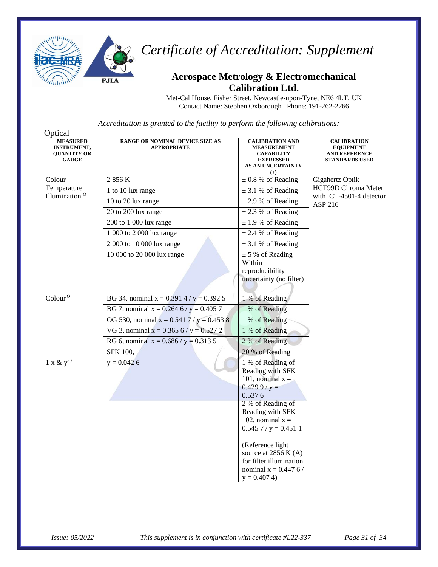

### **Aerospace Metrology & Electromechanical Calibration Ltd.**

Met-Cal House, Fisher Street, Newcastle-upon-Tyne, NE6 4LT, UK Contact Name: Stephen Oxborough Phone: 191-262-2266

| Optical                                                                     |                                                       |                                                                                                                                                                                                                                                                                                    |                                                                                         |
|-----------------------------------------------------------------------------|-------------------------------------------------------|----------------------------------------------------------------------------------------------------------------------------------------------------------------------------------------------------------------------------------------------------------------------------------------------------|-----------------------------------------------------------------------------------------|
| <b>MEASURED</b><br><b>INSTRUMENT,</b><br><b>QUANTITY OR</b><br><b>GAUGE</b> | RANGE OR NOMINAL DEVICE SIZE AS<br><b>APPROPRIATE</b> | <b>CALIBRATION AND</b><br><b>MEASUREMENT</b><br><b>CAPABILITY</b><br><b>EXPRESSED</b><br><b>AS AN UNCERTAINTY</b><br>$(\pm)$                                                                                                                                                                       | <b>CALIBRATION</b><br><b>EQUIPMENT</b><br><b>AND REFERENCE</b><br><b>STANDARDS USED</b> |
| Colour                                                                      | 2 856 K                                               | $\pm$ 0.8 % of Reading                                                                                                                                                                                                                                                                             | Gigahertz Optik                                                                         |
| Temperature                                                                 | 1 to 10 lux range                                     | $\pm$ 3.1 % of Reading                                                                                                                                                                                                                                                                             | HCT99D Chroma Meter                                                                     |
| Illumination <sup>O</sup>                                                   | 10 to 20 lux range                                    | $\pm$ 2.9 % of Reading                                                                                                                                                                                                                                                                             | with CT-4501-4 detector<br>ASP 216                                                      |
|                                                                             | 20 to 200 lux range                                   | $\pm$ 2.3 % of Reading                                                                                                                                                                                                                                                                             |                                                                                         |
|                                                                             | 200 to 1 000 lux range                                | $\pm$ 1.9 % of Reading                                                                                                                                                                                                                                                                             |                                                                                         |
|                                                                             | 1 000 to 2 000 lux range                              | $\pm$ 2.4 % of Reading                                                                                                                                                                                                                                                                             |                                                                                         |
|                                                                             | 2 000 to 10 000 lux range                             | $\pm$ 3.1 % of Reading                                                                                                                                                                                                                                                                             |                                                                                         |
|                                                                             | 10 000 to 20 000 lux range                            | $\pm$ 5 % of Reading<br>Within<br>reproducibility<br>uncertainty (no filter)                                                                                                                                                                                                                       |                                                                                         |
| $\text{Colour}^{\overline{O}}$                                              | BG 34, nominal $x = 0.3914 / y = 0.3925$              | 1 % of Reading                                                                                                                                                                                                                                                                                     |                                                                                         |
|                                                                             | BG 7, nominal $x = 0.264$ 6 / $y = 0.405$ 7           | 1 % of Reading                                                                                                                                                                                                                                                                                     |                                                                                         |
|                                                                             | OG 530, nominal x = 0.541 7 / y = 0.453 8             | 1 % of Reading                                                                                                                                                                                                                                                                                     |                                                                                         |
|                                                                             | VG 3, nominal $x = 0.365$ 6 / $y = 0.527$ 2           | 1 % of Reading                                                                                                                                                                                                                                                                                     |                                                                                         |
|                                                                             | RG 6, nominal $x = 0.686 / y = 0.3135$                | 2 % of Reading                                                                                                                                                                                                                                                                                     |                                                                                         |
|                                                                             | SFK 100,                                              | 20 % of Reading                                                                                                                                                                                                                                                                                    |                                                                                         |
| $1 x & y^0$                                                                 | $y = 0.0426$                                          | 1 % of Reading of<br>Reading with SFK<br>101, nominal $x =$<br>$0.4299 / y =$<br>0.5376<br>2 % of Reading of<br>Reading with SFK<br>102, nominal $x =$<br>$0.5457 / y = 0.4511$<br>(Reference light<br>source at $2856$ K (A)<br>for filter illumination<br>nominal $x = 0.447$ 6/<br>$y = 0.4074$ |                                                                                         |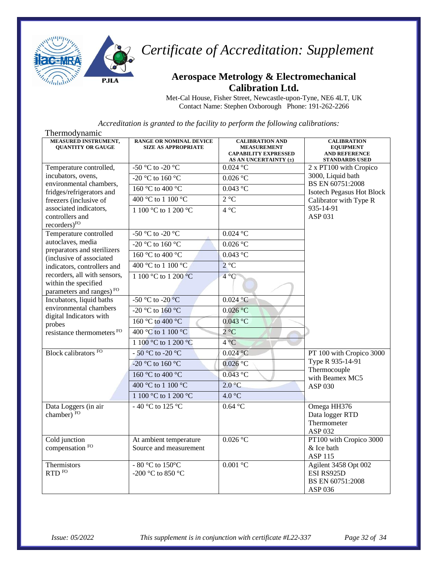

#### **Aerospace Metrology & Electromechanical Calibration Ltd.**

Met-Cal House, Fisher Street, Newcastle-upon-Tyne, NE6 4LT, UK Contact Name: Stephen Oxborough Phone: 191-262-2266

| Thermodynamic                                                                                |                                                              |                                                                                                      |                                                                                         |
|----------------------------------------------------------------------------------------------|--------------------------------------------------------------|------------------------------------------------------------------------------------------------------|-----------------------------------------------------------------------------------------|
| MEASURED INSTRUMENT,<br><b>OUANTITY OR GAUGE</b>                                             | <b>RANGE OR NOMINAL DEVICE</b><br><b>SIZE AS APPROPRIATE</b> | <b>CALIBRATION AND</b><br><b>MEASUREMENT</b><br><b>CAPABILITY EXPRESSED</b><br>AS AN UNCERTAINTY (±) | <b>CALIBRATION</b><br><b>EQUIPMENT</b><br><b>AND REFERENCE</b><br><b>STANDARDS USED</b> |
| Temperature controlled,                                                                      | -50 °C to -20 °C                                             | $0.024$ °C                                                                                           | 2 x PT100 with Cropico                                                                  |
| incubators, ovens,                                                                           | $-20$ °C to 160 °C                                           | $0.026$ °C                                                                                           | 3000, Liquid bath<br>BS EN 60751:2008<br><b>Isotech Pegasus Hot Block</b>               |
| environmental chambers,<br>fridges/refrigerators and                                         | 160 °C to 400 °C                                             | $0.043$ °C                                                                                           |                                                                                         |
| freezers (inclusive of                                                                       | 400 °C to 1 100 °C                                           | $2^{\circ}C$                                                                                         | Calibrator with Type R                                                                  |
| associated indicators,<br>controllers and<br>recorders) <sup>FO</sup>                        | 1 100 °C to 1 200 °C                                         | $4^{\circ}$ C                                                                                        | 935-14-91<br>ASP 031                                                                    |
| Temperature controlled                                                                       | -50 °C to -20 °C                                             | $0.024$ °C                                                                                           |                                                                                         |
| autoclaves, media<br>preparators and sterilizers                                             | -20 °C to 160 °C                                             | $0.026$ °C                                                                                           |                                                                                         |
| (inclusive of associated                                                                     | 160 °C to 400 °C                                             | $0.043$ °C                                                                                           |                                                                                         |
| indicators, controllers and                                                                  | 400 °C to 1 100 °C                                           | $2^{\circ}C$                                                                                         |                                                                                         |
| recorders, all with sensors,<br>within the specified<br>parameters and ranges) <sup>FO</sup> | 1 100 °C to 1 200 °C                                         | $4^{\circ}C$                                                                                         |                                                                                         |
| Incubators, liquid baths                                                                     | -50 °C to -20 °C                                             | $0.024 \degree C$                                                                                    |                                                                                         |
| environmental chambers<br>digital Indicators with                                            | -20 °C to $160$ °C                                           | 0.026 °C                                                                                             |                                                                                         |
| probes                                                                                       | 160 °C to 400 °C                                             | $0.043$ °C                                                                                           |                                                                                         |
| resistance thermometers FO                                                                   | 400 °C to 1 100 °C                                           | $2^{\circ}C$                                                                                         |                                                                                         |
|                                                                                              | 1 100 °C to 1 200 °C                                         | $4^{\circ}C$                                                                                         |                                                                                         |
| Block calibrators FO                                                                         | - 50 °C to -20 °C                                            | $0.024$ °C                                                                                           | PT 100 with Cropico 3000                                                                |
|                                                                                              | -20 °C to 160 °C                                             | $0.026$ °C                                                                                           | Type R 935-14-91                                                                        |
|                                                                                              | 160 °C to 400 °C                                             | $0.043$ °C                                                                                           | Thermocouple<br>with Beamex MC5                                                         |
|                                                                                              | 400 °C to 1 100 °C                                           | 2.0 °C                                                                                               | ASP 030                                                                                 |
|                                                                                              | 1 100 °C to 1 200 °C                                         | 4.0 °C                                                                                               |                                                                                         |
| Data Loggers (in air<br>chamber) FO                                                          | - 40 °C to 125 °C                                            | $0.64$ °C                                                                                            | Omega HH376<br>Data logger RTD<br>Thermometer<br>ASP 032                                |
| Cold junction<br>compensation FO                                                             | At ambient temperature<br>Source and measurement             | 0.026 °C                                                                                             | PT100 with Cropico 3000<br>& Ice bath<br><b>ASP 115</b>                                 |
| Thermistors<br>RTD <sup>FO</sup>                                                             | - 80 °C to 150°C<br>$-200$ °C to 850 °C                      | $0.001$ °C                                                                                           | Agilent 3458 Opt 002<br>ESI RS925D<br>BS EN 60751:2008<br>ASP 036                       |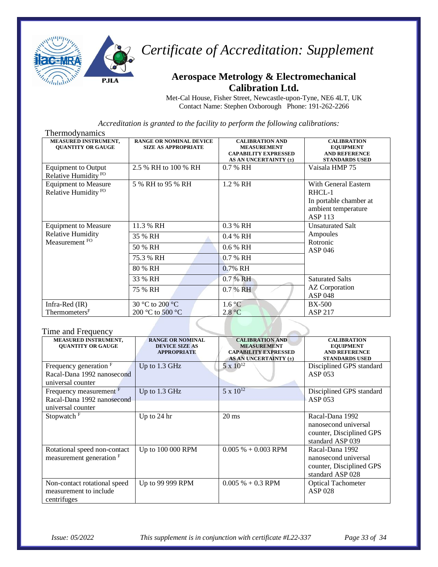

#### **Aerospace Metrology & Electromechanical Calibration Ltd.**

Met-Cal House, Fisher Street, Newcastle-upon-Tyne, NE6 4LT, UK Contact Name: Stephen Oxborough Phone: 191-262-2266

*Accreditation is granted to the facility to perform the following calibrations:*

| <b>Thermodynamics</b>                                          |                                                              |                                                                                                      |                                                                                                   |
|----------------------------------------------------------------|--------------------------------------------------------------|------------------------------------------------------------------------------------------------------|---------------------------------------------------------------------------------------------------|
| <b>MEASURED INSTRUMENT,</b><br><b>QUANTITY OR GAUGE</b>        | <b>RANGE OR NOMINAL DEVICE</b><br><b>SIZE AS APPROPRIATE</b> | <b>CALIBRATION AND</b><br><b>MEASUREMENT</b><br><b>CAPABILITY EXPRESSED</b><br>AS AN UNCERTAINTY (±) | <b>CALIBRATION</b><br><b>EQUIPMENT</b><br><b>AND REFERENCE</b><br><b>STANDARDS USED</b>           |
| <b>Equipment</b> to Output<br>Relative Humidity <sup>FO</sup>  | 2.5 % RH to 100 % RH                                         | $0.7%$ RH                                                                                            | Vaisala HMP 75                                                                                    |
| <b>Equipment to Measure</b><br>Relative Humidity <sup>FO</sup> | 5 % RH to 95 % RH                                            | 1.2 % RH                                                                                             | With General Eastern<br>RHCL-1<br>In portable chamber at<br>ambient temperature<br><b>ASP 113</b> |
| <b>Equipment to Measure</b>                                    | 11.3 % RH                                                    | 0.3 % RH                                                                                             | <b>Unsaturated Salt</b>                                                                           |
| <b>Relative Humidity</b><br>Measurement FO                     | 35 % RH                                                      | 0.4 % RH                                                                                             | Ampoules<br>Rotronic                                                                              |
|                                                                | 50 % RH                                                      | $0.6\%$ RH                                                                                           | ASP 046                                                                                           |
|                                                                | 75.3 % RH                                                    | $0.7%$ RH                                                                                            |                                                                                                   |
|                                                                | 80 % RH                                                      | 0.7% RH                                                                                              |                                                                                                   |
|                                                                | 33 % RH                                                      | 0.7 % RH                                                                                             | <b>Saturated Salts</b>                                                                            |
|                                                                | 75 % RH                                                      | 0.7 % RH                                                                                             | AZ Corporation<br><b>ASP 048</b>                                                                  |
| Infra-Red (IR)                                                 | 30 °C to 200 °C                                              | 1.6 °C                                                                                               | <b>BX-500</b>                                                                                     |
| Thermometers <sup>F</sup>                                      | 200 °C to 500 °C                                             | 2.8 °C                                                                                               | <b>ASP 217</b>                                                                                    |

#### Time and Frequency

| MEASURED INSTRUMENT,<br><b>OUANTITY OR GAUGE</b>                            | <b>RANGE OR NOMINAL</b><br><b>DEVICE SIZE AS</b><br><b>APPROPRIATE</b> | <b>CALIBRATION AND</b><br><b>MEASUREMENT</b><br><b>CAPABILITY EXPRESSED</b><br>AS AN UNCERTAINTY (±) | <b>CALIBRATION</b><br><b>EQUIPMENT</b><br><b>AND REFERENCE</b><br><b>STANDARDS USED</b> |
|-----------------------------------------------------------------------------|------------------------------------------------------------------------|------------------------------------------------------------------------------------------------------|-----------------------------------------------------------------------------------------|
| Frequency generation $F$<br>Racal-Dana 1992 nanosecond<br>universal counter | Up to $1.3$ GHz                                                        | $5 \times 10^{12}$                                                                                   | Disciplined GPS standard<br>ASP 053                                                     |
| Frequency measurement F<br>Racal-Dana 1992 nanosecond<br>universal counter  | Up to 1.3 GHz                                                          | $5 \times 10^{12}$                                                                                   | Disciplined GPS standard<br>ASP 053                                                     |
| Stopwatch <sup>F</sup>                                                      | Up to 24 hr                                                            | $20 \text{ ms}$                                                                                      | Racal-Dana 1992<br>nanosecond universal<br>counter, Disciplined GPS<br>standard ASP 039 |
| Rotational speed non-contact<br>measurement generation F                    | Up to 100 000 RPM                                                      | $0.005\% + 0.003$ RPM                                                                                | Racal-Dana 1992<br>nanosecond universal<br>counter, Disciplined GPS<br>standard ASP 028 |
| Non-contact rotational speed<br>measurement to include<br>centrifuges       | Up to 99 999 RPM                                                       | $0.005\% + 0.3$ RPM                                                                                  | <b>Optical Tachometer</b><br><b>ASP 028</b>                                             |